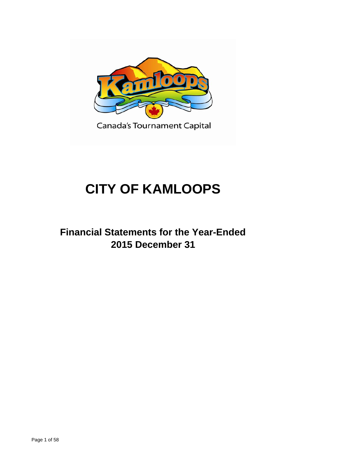

# **CITY OF KAMLOOPS**

# **Financial Statements for the Year-Ended 2015 December 31**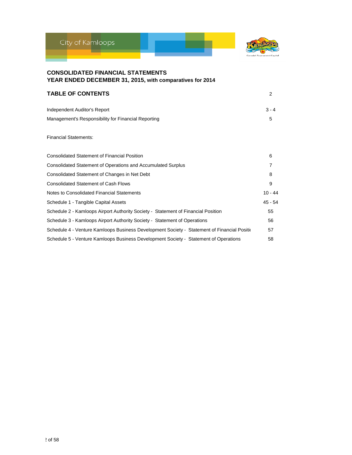

| <b>TABLE OF CONTENTS</b>                                                                     | 2              |
|----------------------------------------------------------------------------------------------|----------------|
| Independent Auditor's Report                                                                 | $3 - 4$        |
| Management's Responsibility for Financial Reporting                                          | 5              |
| <b>Financial Statements:</b>                                                                 |                |
| <b>Consolidated Statement of Financial Position</b>                                          | 6              |
| <b>Consolidated Statement of Operations and Accumulated Surplus</b>                          | $\overline{7}$ |
| Consolidated Statement of Changes in Net Debt                                                | 8              |
| <b>Consolidated Statement of Cash Flows</b>                                                  | 9              |
| Notes to Consolidated Financial Statements                                                   | $10 - 44$      |
| Schedule 1 - Tangible Capital Assets                                                         | $45 - 54$      |
| Schedule 2 - Kamloops Airport Authority Society - Statement of Financial Position            | 55             |
| Schedule 3 - Kamloops Airport Authority Society - Statement of Operations                    | 56             |
| Schedule 4 - Venture Kamloops Business Development Society - Statement of Financial Position | 57             |
| Schedule 5 - Venture Kamloops Business Development Society - Statement of Operations         | 58             |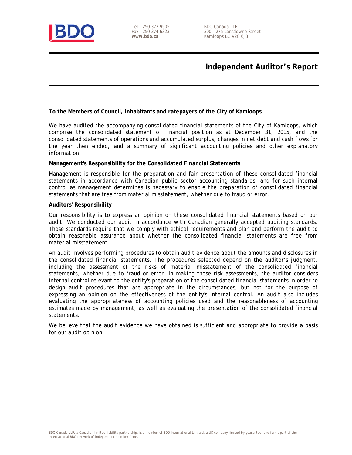

Tel: 250 372 9505 Fax: 250 374 6323 **www.bdo.ca** 

# **Independent Auditor's Report**

## **To the Members of Council, inhabitants and ratepayers of the City of Kamloops**

We have audited the accompanying consolidated financial statements of the City of Kamloops, which comprise the consolidated statement of financial position as at December 31, 2015, and the consolidated statements of operations and accumulated surplus, changes in net debt and cash flows for the year then ended, and a summary of significant accounting policies and other explanatory information.

## **Management's Responsibility for the Consolidated Financial Statements**

Management is responsible for the preparation and fair presentation of these consolidated financial statements in accordance with Canadian public sector accounting standards, and for such internal control as management determines is necessary to enable the preparation of consolidated financial statements that are free from material misstatement, whether due to fraud or error.

## **Auditors' Responsibility**

Our responsibility is to express an opinion on these consolidated financial statements based on our audit. We conducted our audit in accordance with Canadian generally accepted auditing standards. Those standards require that we comply with ethical requirements and plan and perform the audit to obtain reasonable assurance about whether the consolidated financial statements are free from material misstatement.

An audit involves performing procedures to obtain audit evidence about the amounts and disclosures in the consolidated financial statements. The procedures selected depend on the auditor's judgment, including the assessment of the risks of material misstatement of the consolidated financial statements, whether due to fraud or error. In making those risk assessments, the auditor considers internal control relevant to the entity's preparation of the consolidated financial statements in order to design audit procedures that are appropriate in the circumstances, but not for the purpose of expressing an opinion on the effectiveness of the entity's internal control. An audit also includes evaluating the appropriateness of accounting policies used and the reasonableness of accounting estimates made by management, as well as evaluating the presentation of the consolidated financial statements.

We believe that the audit evidence we have obtained is sufficient and appropriate to provide a basis for our audit opinion.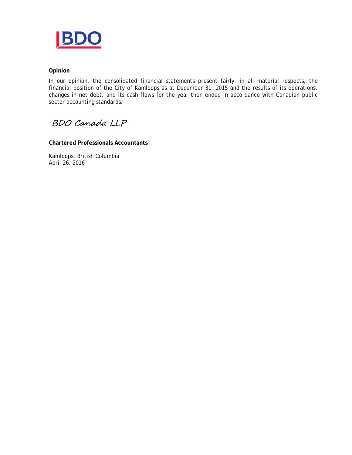

## **Opinion**

In our opinion, the consolidated financial statements present fairly, in all material respects, the financial position of the City of Kamloops as at December 31, 2015 and the results of its operations, changes in net debt, and its cash flows for the year then ended in accordance with Canadian public sector accounting standards.

BDO Canada LLP

**Chartered Professionals Accountants** 

Kamloops, British Columbia April 26, 2016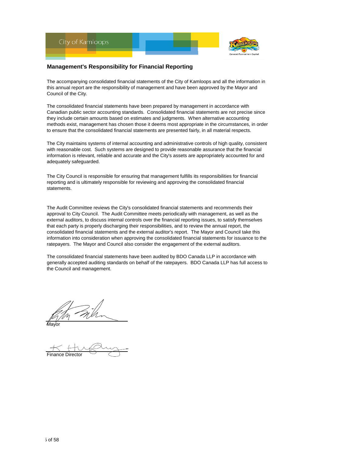

## **Management's Responsibility for Financial Reporting**

The accompanying consolidated financial statements of the City of Kamloops and all the information in this annual report are the responsibility of management and have been approved by the Mayor and Council of the City.

The consolidated financial statements have been prepared by management in accordance with Canadian public sector accounting standards. Consolidated financial statements are not precise since they include certain amounts based on estimates and judgments. When alternative accounting methods exist, management has chosen those it deems most appropriate in the circumstances, in order to ensure that the consolidated financial statements are presented fairly, in all material respects.

The City maintains systems of internal accounting and administrative controls of high quality, consistent with reasonable cost. Such systems are designed to provide reasonable assurance that the financial information is relevant, reliable and accurate and the City's assets are appropriately accounted for and adequately safeguarded.

The City Council is responsible for ensuring that management fulfills its responsibilities for financial reporting and is ultimately responsible for reviewing and approving the consolidated financial statements.

The Audit Committee reviews the City's consolidated financial statements and recommends their approval to City Council. The Audit Committee meets periodically with management, as well as the external auditors, to discuss internal controls over the financial reporting issues, to satisfy themselves that each party is properly discharging their responsibilities, and to review the annual report, the consolidated financial statements and the external auditor's report. The Mayor and Council take this information into consideration when approving the consolidated financial statements for issuance to the ratepayers. The Mayor and Council also consider the engagement of the external auditors.

The consolidated financial statements have been audited by BDO Canada LLP in accordance with generally accepted auditing standards on behalf of the ratepayers. BDO Canada LLP has full access to the Council and management.

*\* Peter Milobar \**

Mayor

*\* Kathy Humphrey, CPA, CA \** Finance Director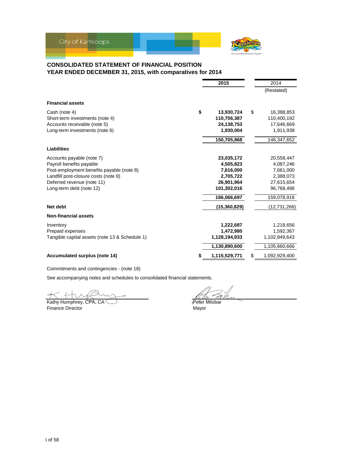

## **CONSOLIDATED STATEMENT OF FINANCIAL POSITION YEAR ENDED DECEMBER 31, 2015, with comparatives for 2014**

|                                                                                                                                                                                                                  | 2015                           |                                                                                                                 | 2014                                                                                                         |
|------------------------------------------------------------------------------------------------------------------------------------------------------------------------------------------------------------------|--------------------------------|-----------------------------------------------------------------------------------------------------------------|--------------------------------------------------------------------------------------------------------------|
|                                                                                                                                                                                                                  |                                |                                                                                                                 | (Restated)                                                                                                   |
| <b>Financial assets</b>                                                                                                                                                                                          |                                |                                                                                                                 |                                                                                                              |
| Cash (note 4)<br>Short-term investments (note 4)<br>Accounts receivable (note 5)<br>Long-term investments (note 6)                                                                                               | \$                             | \$<br>13,930,724<br>110,706,387<br>24,138,753<br>1,930,004                                                      | 16,388,853<br>110,400,192<br>17,646,669<br>1,911,938                                                         |
|                                                                                                                                                                                                                  |                                | 150,705,868                                                                                                     | 146,347,652                                                                                                  |
| Liabilities                                                                                                                                                                                                      |                                |                                                                                                                 |                                                                                                              |
| Accounts payable (note 7)<br>Payroll benefits payable<br>Post-employment benefits payable (note 8)<br>Landfill post-closure costs (note 9)<br>Deferred revenue (note 11)<br>Long-term debt (note 12)<br>Net debt |                                | 23,035,172<br>4,505,823<br>7,616,000<br>2,705,722<br>26,901,964<br>101,302,016<br>166,066,697<br>(15, 360, 829) | 20,558,447<br>4,087,246<br>7,661,000<br>2,388,073<br>27,615,654<br>96,768,498<br>159,078,918<br>(12,731,266) |
| <b>Non-financial assets</b>                                                                                                                                                                                      |                                |                                                                                                                 |                                                                                                              |
| Inventory<br>Prepaid expenses<br>Tangible capital assets (note 13 & Schedule 1)                                                                                                                                  | 1,128,194,933<br>1,130,890,600 | 1,222,687<br>1,472,980                                                                                          | 1,218,656<br>1,592,367<br>1,102,849,643<br>1,105,660,666                                                     |
| Accumulated surplus (note 14)                                                                                                                                                                                    | 1,115,529,771                  |                                                                                                                 | 1,092,929,400                                                                                                |

Commitments and contingencies - (note 18)

Kathy Humphrey, CPA, CA Peter Milobar

Finance Director **Mayor**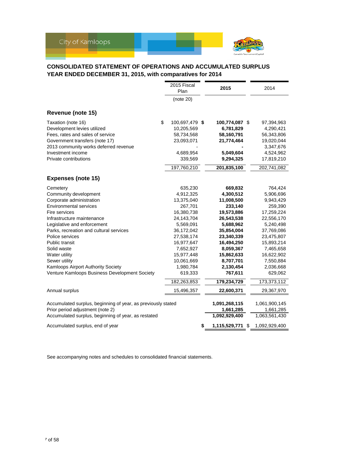

# **CONSOLIDATED STATEMENT OF OPERATIONS AND ACCUMULATED SURPLUS YEAR ENDED DECEMBER 31, 2015, with comparatives for 2014**

|                                                              | 2015 Fiscal<br>Plan  | 2015                   | 2014          |
|--------------------------------------------------------------|----------------------|------------------------|---------------|
|                                                              | (note 20)            |                        |               |
| Revenue (note 15)                                            |                      |                        |               |
| Taxation (note 16)                                           | \$<br>100,697,479 \$ | 100,774,087 \$         | 97,394,963    |
| Development levies utilized                                  | 10,205,569           | 6,781,829              | 4,290,421     |
| Fees, rates and sales of service                             | 58,734,568           | 58,160,791             | 56,343,806    |
| Government transfers (note 17)                               | 23,093,071           | 21,774,464             | 19,020,044    |
| 2013 community works deferred revenue                        |                      |                        | 3,347,676     |
| Investment income                                            | 4,689,954            | 5,049,604              | 4,524,962     |
| Private contributions                                        | 339,569              | 9,294,325              | 17,819,210    |
|                                                              | 197,760,210          | 201,835,100            | 202,741,082   |
| <b>Expenses (note 15)</b>                                    |                      |                        |               |
| Cemetery                                                     | 635,230              | 669,832                | 764,424       |
| Community development                                        | 4,912,325            | 4,300,512              | 5,906,696     |
| Corporate administration                                     | 13,375,040           | 11,008,500             | 9,943,429     |
| <b>Environmental services</b>                                | 267,701              | 233,140                | 259,390       |
| Fire services                                                | 16,380,738           | 19,573,886             | 17,259,224    |
| Infrastructure maintenance                                   | 24,143,704           | 26,543,538             | 22,556,170    |
| Legislative and enforcement                                  | 5,569,091            | 5,688,962              | 5,240,498     |
| Parks, recreation and cultural services                      | 36,172,042           | 35,854,004             | 37,769,086    |
| Police services                                              | 27,538,174           | 23,340,339             | 23,475,807    |
| <b>Public transit</b>                                        | 16,977,647           | 16,494,250             | 15,893,214    |
| Solid waste                                                  | 7,652,927            | 8,059,367              | 7,465,658     |
| Water utility                                                | 15,977,448           | 15,862,633             | 16,622,902    |
| Sewer utility                                                | 10,061,669           | 8,707,701              | 7,550,884     |
| Kamloops Airport Authority Society                           | 1,980,784            | 2,130,454              | 2,036,668     |
| Venture Kamloops Business Development Society                | 619,333              | 767,611                | 629,062       |
|                                                              | 182,263,853          | 179,234,729            | 173,373,112   |
| Annual surplus                                               | 15,496,357           | 22,600,371             | 29,367,970    |
| Accumulated surplus, beginning of year, as previously stated |                      | 1,091,268,115          | 1,061,900,145 |
| Prior period adjustment (note 2)                             |                      | 1,661,285              | 1,661,285     |
| Accumulated surplus, beginning of year, as restated          |                      | 1,092,929,400          | 1,063,561,430 |
| Accumulated surplus, end of year                             |                      | \$<br>1,115,529,771 \$ | 1,092,929,400 |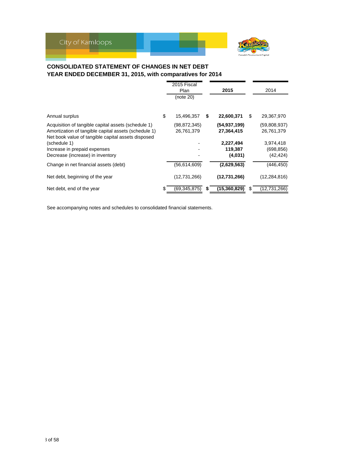

# **CONSOLIDATED STATEMENT OF CHANGES IN NET DEBT YEAR ENDED DECEMBER 31, 2015, with comparatives for 2014**

|                                                                                                                                                                   |    | 2015 Fiscal<br>Plan<br>(note 20) | 2015                         | 2014                       |
|-------------------------------------------------------------------------------------------------------------------------------------------------------------------|----|----------------------------------|------------------------------|----------------------------|
| Annual surplus                                                                                                                                                    | \$ | 15,496,357                       | \$<br>22,600,371             | \$<br>29,367,970           |
| Acquisition of tangible capital assets (schedule 1)<br>Amortization of tangible capital assets (schedule 1)<br>Net book value of tangible capital assets disposed |    | (98,872,345)<br>26,761,379       | (54, 937, 199)<br>27,364,415 | (59,808,937)<br>26,761,379 |
| (schedule 1)                                                                                                                                                      |    |                                  | 2,227,494                    | 3,974,418                  |
| Increase in prepaid expenses<br>Decrease (increase) in inventory                                                                                                  |    |                                  | 119,387<br>(4,031)           | (698, 856)<br>(42, 424)    |
| Change in net financial assets (debt)                                                                                                                             |    | (56.614.609)                     | (2,629,563)                  | (446, 450)                 |
| Net debt, beginning of the year                                                                                                                                   |    | (12,731,266)                     | (12,731,266)                 | (12, 284, 816)             |
| Net debt, end of the year                                                                                                                                         | S  | (69, 345, 875)                   | (15, 360, 829)               | (12,731,266)               |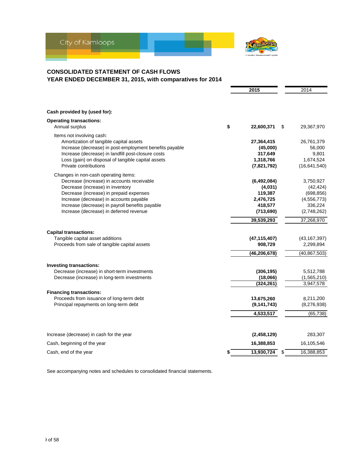

## **CONSOLIDATED STATEMENT OF CASH FLOWS YEAR ENDED DECEMBER 31, 2015, with comparatives for 2014**

|                                                                                                                                                                                                                                                                                                            | 2015                                                                   | 2014                                                                            |
|------------------------------------------------------------------------------------------------------------------------------------------------------------------------------------------------------------------------------------------------------------------------------------------------------------|------------------------------------------------------------------------|---------------------------------------------------------------------------------|
|                                                                                                                                                                                                                                                                                                            |                                                                        |                                                                                 |
| Cash provided by (used for):                                                                                                                                                                                                                                                                               |                                                                        |                                                                                 |
| <b>Operating transactions:</b><br>Annual surplus                                                                                                                                                                                                                                                           | \$<br>22,600,371<br>\$                                                 | 29,367,970                                                                      |
| Items not involving cash:<br>Amortization of tangible capital assets<br>Increase (decrease) in post-employment benefits payable<br>Increase (decrease) in landfill post-closure costs<br>Loss (gain) on disposal of tangible capital assets<br>Private contributions                                       | 27,364,415<br>(45,000)<br>317,649<br>1,318,766<br>(7,821,792)          | 26,761,379<br>56,000<br>9,801<br>1,674,524<br>(16,641,540)                      |
| Changes in non-cash operating items:<br>Decrease (increase) in accounts receivable<br>Decrease (increase) in inventory<br>Decrease (increase) in prepaid expenses<br>Increase (decrease) in accounts payable<br>Increase (decrease) in payroll benefits payable<br>Increase (decrease) in deferred revenue | (6,492,084)<br>(4,031)<br>119,387<br>2,476,725<br>418,577<br>(713,690) | 3,750,927<br>(42, 424)<br>(698, 856)<br>(4, 556, 773)<br>336,224<br>(2,748,262) |
|                                                                                                                                                                                                                                                                                                            | 39,539,293                                                             | 37,268,970                                                                      |
| <b>Capital transactions:</b><br>Tangible capital asset additions<br>Proceeds from sale of tangible capital assets                                                                                                                                                                                          | (47, 115, 407)<br>908,729<br>(46, 206, 678)                            | (43, 167, 397)<br>2,299,894<br>(40, 867, 503)                                   |
| <b>Investing transactions:</b>                                                                                                                                                                                                                                                                             |                                                                        |                                                                                 |
| Decrease (increase) in short-term investments<br>Decrease (increase) in long-term investments                                                                                                                                                                                                              | (306, 195)<br>(18,066)<br>(324, 261)                                   | 5,512,788<br>(1,565,210)<br>3,947,578                                           |
| <b>Financing transactions:</b><br>Proceeds from issuance of long-term debt                                                                                                                                                                                                                                 | 13,675,260                                                             | 8,211,200                                                                       |
| Principal repayments on long-term debt                                                                                                                                                                                                                                                                     | (9, 141, 743)                                                          | (8,276,938)                                                                     |
|                                                                                                                                                                                                                                                                                                            | 4,533,517                                                              | (65, 738)                                                                       |
| Increase (decrease) in cash for the year                                                                                                                                                                                                                                                                   | (2,458,129)                                                            | 283,307                                                                         |
| Cash, beginning of the year                                                                                                                                                                                                                                                                                | 16,388,853                                                             | 16,105,546                                                                      |
| Cash, end of the year                                                                                                                                                                                                                                                                                      | \$<br>13,930,724<br>\$                                                 | 16,388,853                                                                      |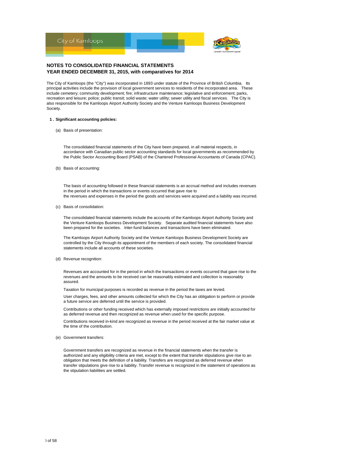

The City of Kamloops (the "City") was incorporated in 1893 under statute of the Province of British Columbia. Its principal activities include the provision of local government services to residents of the incorporated area. These include cemetery; community development; fire; infrastructure maintenance; legislative and enforcement; parks, recreation and leisure; police; public transit; solid waste; water utility; sewer utility and fiscal services. The City is also responsible for the Kamloops Airport Authority Society and the Venture Kamloops Business Development Society.

#### **1 . Significant accounting policies:**

(a) Basis of presentation:

The consolidated financial statements of the City have been prepared, in all material respects, in accordance with Canadian public sector accounting standards for local governments as recommended by the Public Sector Accounting Board (PSAB) of the Chartered Professional Accountants of Canada (CPAC).

(b) Basis of accounting:

The basis of accounting followed in these financial statements is an accrual method and includes revenues in the period in which the transactions or events occurred that gave rise to the revenues and expenses in the period the goods and services were acquired and a liability was incurred.

(c) Basis of consolidation:

The consolidated financial statements include the accounts of the Kamloops Airport Authority Society and the Venture Kamloops Business Development Society. Separate audited financial statements have also been prepared for the societies. Inter-fund balances and transactions have been eliminated.

The Kamloops Airport Authority Society and the Venture Kamloops Business Development Society are controlled by the City through its appointment of the members of each society. The consolidated financial statements include all accounts of these societies.

(d) Revenue recognition:

Revenues are accounted for in the period in which the transactions or events occurred that gave rise to the revenues and the amounts to be received can be reasonably estimated and collection is reasonably assured.

Taxation for municipal purposes is recorded as revenue in the period the taxes are levied.

User charges, fees, and other amounts collected for which the City has an obligation to perform or provide a future service are deferred until the service is provided.

Contributions or other funding received which has externally imposed restrictions are initially accounted for as deferred revenue and then recognized as revenue when used for the specific purpose.

Contributions received in-kind are recognized as revenue in the period received at the fair market value at the time of the contribution.

(e) Government transfers:

Government transfers are recognized as revenue in the financial statements when the transfer is authorized and any eligibility criteria are met, except to the extent that transfer stipulations give rise to an obligation that meets the definition of a liability. Transfers are recognized as deferred revenue when transfer stipulations give rise to a liability. Transfer revenue is recognized in the statement of operations as the stipulation liabilities are settled.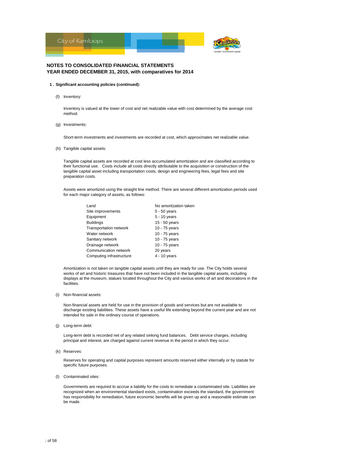

#### **1 . Significant accounting policies (continued):**

(f) Inventory:

Inventory is valued at the lower of cost and net realizable value with cost determined by the average cost method.

(g) Investments:

Short-term investments and investments are recorded at cost, which approximates net realizable value.

(h) Tangible capital assets:

Tangible capital assets are recorded at cost less accumulated amortization and are classified according to their functional use. Costs include all costs directly attributable to the acquisition or construction of the tangible capital asset including transportation costs, design and engineering fees, legal fees and site preparation costs.

Assets were amortized using the straight line method. There are several different amortization periods used for each major category of assets, as follows:

| Land                     | No amortization taken |
|--------------------------|-----------------------|
| Site improvements        | $5 - 50$ years        |
| Equipment                | $5 - 10$ years        |
| <b>Buildings</b>         | 15 - 50 years         |
| Transportation network   | 10 - 75 years         |
| Water network            | 10 - 75 years         |
| Sanitary network         | 10 - 75 years         |
| Drainage network         | 10 - 75 years         |
| Communication network    | 20 years              |
| Computing infrastructure | $4 - 10$ years        |

Amortization is not taken on tangible capital assets until they are ready for use. The City holds several works of art and historic treasures that have not been included in the tangible capital assets, including displays at the museum, statues located throughout the City and various works of art and decorations in the facilities.

(i) Non-financial assets:

Non-financial assets are held for use in the provision of goods and services but are not available to discharge existing liabilities. These assets have a useful life extending beyond the current year and are not intended for sale in the ordinary course of operations.

(j) Long-term debt:

Long-term debt is recorded net of any related sinking fund balances. Debt service charges, including principal and interest, are charged against current revenue in the period in which they occur.

(k) Reserves:

Reserves for operating and capital purposes represent amounts reserved either internally or by statute for specific future purposes.

(l) Contaminated sites:

> Governments are required to accrue a liability for the costs to remediate a contaminated site. Liabilities are recognized when an environmental standard exists, contamination exceeds the standard, the government has responsibility for remediation, future economic benefits will be given up and a reasonable estimate can be made.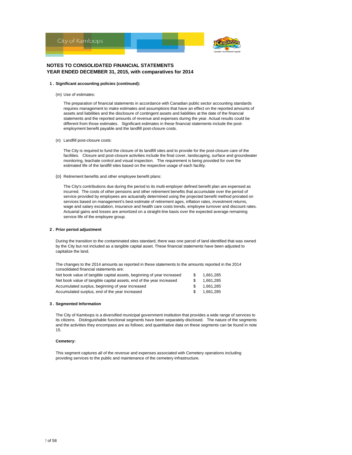

#### **1 . Significant accounting policies (continued):**

(m) Use of estimates:

The preparation of financial statements in accordance with Canadian public sector accounting standards requires management to make estimates and assumptions that have an effect on the reported amounts of assets and liabilities and the disclosure of contingent assets and liabilities at the date of the financial statements and the reported amounts of revenue and expenses during the year. Actual results could be different from those estimates. Significant estimates in these financial statements include the postemployment benefit payable and the landfill post-closure costs.

(n) Landfill post-closure costs:

The City is required to fund the closure of its landfill sites and to provide for the post-closure care of the facilities. Closure and post-closure activities include the final cover, landscaping, surface and groundwater monitoring, leachate control and visual inspection. The requirement is being provided for over the estimated life of the landfill sites based on the respective usage of each facility.

(o) Retirement benefits and other employee benefit plans:

The City's contributions due during the period to its multi-employer defined benefit plan are expensed as incurred. The costs of other pensions and other retirement benefits that accumulate over the period of service provided by employees are actuarially determined using the projected benefit method prorated on services based on management's best estimate of retirement ages, inflation rates, investment returns, wage and salary escalation, insurance and health care costs trends, employee turnover and discount rates. Actuarial gains and losses are amortized on a straight-line basis over the expected average remaining service life of the employee group.

#### **2 . Prior period adjustment**

During the transition to the contaminated sites standard, there was one parcel of land identified that was owned by the City but not included as a tangible capital asset. These financial statements have been adjusted to capitalize the land.

The changes to the 2014 amounts as reported in these statements to the amounts reported in the 2014 consolidated financial statements are:

| Net book value of tangible capital assets, beginning of year increased |      | 1.661.285 |
|------------------------------------------------------------------------|------|-----------|
| Net book value of tangible capital assets, end of the year increased   | - 95 | 1.661.285 |
| Accumulated surplus, beginning of year increased                       |      | 1.661.285 |
| Accumulated surplus, end of the vear increased                         | - 96 | 1.661.285 |

#### **3 . Segmented Information**

The City of Kamloops is a diversified municipal government institution that provides a wide range of services to its citizens. Distinguishable functional segments have been separately disclosed. The nature of the segments and the activities they encompass are as follows; and quantitative data on these segments can be found in note 15.

#### **Cemetery:**

This segment captures all of the revenue and expenses associated with Cemetery operations including providing services to the public and maintenance of the cemetery infrastructure.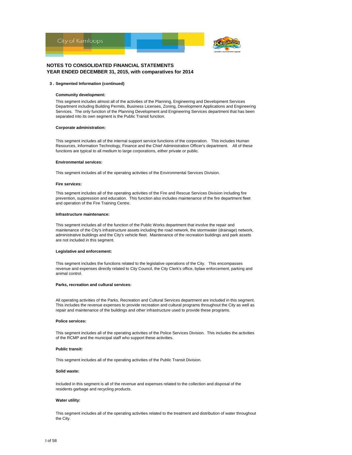

#### **3 . Segmented Information (continued)**

#### **Community development:**

This segment includes almost all of the activities of the Planning, Engineering and Development Services Department including Building Permits, Business Licenses, Zoning, Development Applications and Engineering Services. The only function of the Planning Development and Engineering Services department that has been separated into its own segment is the Public Transit function.

#### **Corporate administration:**

This segment includes all of the internal support service functions of the corporation. This includes Human Resources, Information Technology, Finance and the Chief Administration Officer's department. All of these functions are typical to all medium to large corporations, either private or public.

#### **Environmental services:**

This segment includes all of the operating activities of the Environmental Services Division.

#### **Fire services:**

This segment includes all of the operating activities of the Fire and Rescue Services Division including fire prevention, suppression and education. This function also includes maintenance of the fire department fleet and operation of the Fire Training Centre.

#### **Infrastructure maintenance:**

This segment includes all of the function of the Public Works department that involve the repair and maintenance of the City's infrastructure assets including the road network, the stormwater (drainage) network, administrative buildings and the City's vehicle fleet. Maintenance of the recreation buildings and park assets are not included in this segment.

#### **Legislative and enforcement:**

This segment includes the functions related to the legislative operations of the City. This encompasses revenue and expenses directly related to City Council, the City Clerk's office, bylaw enforcement, parking and animal control.

#### **Parks, recreation and cultural services:**

All operating activities of the Parks, Recreation and Cultural Services department are included in this segment. This includes the revenue expenses to provide recreation and cultural programs throughout the City as well as repair and maintenance of the buildings and other infrastructure used to provide these programs.

#### **Police services:**

This segment includes all of the operating activities of the Police Services Division. This includes the activities of the RCMP and the municipal staff who support these activities.

#### **Public transit:**

This segment includes all of the operating activities of the Public Transit Division.

#### **Solid waste:**

Included in this segment is all of the revenue and expenses related to the collection and disposal of the residents garbage and recycling products.

#### **Water utility:**

This segment includes all of the operating activities related to the treatment and distribution of water throughout the City.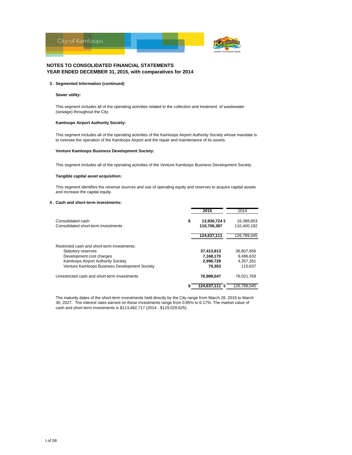

#### **3 . Segmented Information (continued)**

#### **Sewer utility:**

This segment includes all of the operating activities related to the collection and treatment of wastewater (sewage) throughout the City.

#### **Kamloops Airport Authority Society:**

This segment includes all of the operating activities of the Kamloops Airport Authority Society whose mandate is to oversee the operation of the Kamloops Airport and the repair and maintenance of its assets.

#### **Venture Kamloops Business Development Society:**

This segment includes all of the operating activities of the Venture Kamloops Business Development Society.

#### **Tangible capital asset acquisition:**

This segment identifies the revenue sources and use of operating equity and reserves to acquire capital assets and increase the capital equity.

#### **4 . Cash and short-term investments:**

|                                               | 2015                | 2014        |
|-----------------------------------------------|---------------------|-------------|
| Consolidated cash                             | \$<br>13,930,724 \$ | 16,388,853  |
| Consolidated short-term investments           | 110,706,387         | 110.400.192 |
|                                               | 124,637,111         | 126.789.045 |
| Restricted cash and short-term investments:   |                     |             |
| <b>Statutory reserves</b>                     | 37,413,813          | 36.807.656  |
| Development cost charges                      | 7,168,170           | 9,486,632   |
| Kamloops Airport Authority Society            | 2,996,728           | 4,357,351   |
| Venture Kamloops Business Development Society | 70.353              | 115.637     |
| Unrestricted cash and short-term investments  | 76,988,047          | 76,021,769  |
|                                               | 124.637.111 \$      | 126.789.045 |
|                                               |                     |             |

The maturity dates of the short-term investments held directly by the City range from March 28, 2016 to March 30, 2027. The interest rates earned on these investments range from 0.85% to 6.17%. The market value of cash and short term investments is \$113,482,717 (2014 - \$129,029,625).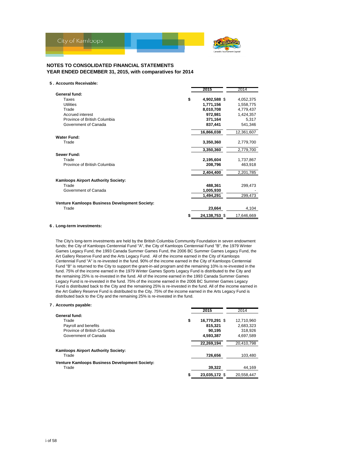

#### **5 . Accounts Receivable:**

|                                                | 2015               | 2014       |
|------------------------------------------------|--------------------|------------|
| General fund:                                  |                    |            |
| <b>Taxes</b>                                   | \$<br>4,902,588 \$ | 4,052,375  |
| Utilities                                      | 1,771,156          | 1,558,775  |
| Trade                                          | 8,010,708          | 4,779,437  |
| Accrued interest                               | 972,981            | 1,424,357  |
| Province of British Columbia                   | 371,164            | 5,317      |
| Government of Canada                           | 837,441            | 541,346    |
|                                                | 16,866,038         | 12,361,607 |
| <b>Water Fund:</b>                             |                    |            |
| Trade                                          | 3,350,360          | 2,779,700  |
|                                                | 3,350,360          | 2,779,700  |
| Sewer Fund:                                    |                    |            |
| Trade                                          | 2,195,604          | 1,737,867  |
| Province of British Columbia                   | 208,796            | 463,918    |
|                                                | 2,404,400          | 2,201,785  |
| <b>Kamloops Airport Authority Society:</b>     |                    |            |
| Trade                                          | 488,361            | 299,473    |
| Government of Canada                           | 1,005,930          |            |
|                                                | 1,494,291          | 299,473    |
| Venture Kamloops Business Development Society: |                    |            |
| Trade                                          | 23,664             | 4,104      |
|                                                | 24,138,753 \$      | 17,646,669 |

#### **6 . Long-term investments:**

The City's long-term investments are held by the British Columbia Community Foundation in seven endowment funds; the City of Kamloops Centennial Fund "A", the City of Kamloops Centennial Fund "B", the 1979 Winter Games Legacy Fund, the 1993 Canada Summer Games Fund, the 2006 BC Summer Games Legacy Fund, the Art Gallery Reserve Fund and the Arts Legacy Fund. All of the income earned in the City of Kamloops Centennial Fund "A" is re-invested in the fund. 90% of the income earned in the City of Kamloops Centennial Fund "B" is returned to the City to support the grant-in-aid program and the remaining 10% is re-invested in the fund. 75% of the income earned in the 1979 Winter Games Sports Legacy Fund is distributed to the City and the remaining 25% is re-invested in the fund. All of the income earned in the 1993 Canada Summer Games Legacy Fund is re-invested in the fund. 75% of the income earned in the 2006 BC Summer Games Legacy Fund is distributed back to the City and the remaining 25% is re-invested in the fund. All of the income earned in the Art Gallery Reserve Fund is distributed to the City. 75% of the income earned in the Arts Legacy Fund is distributed back to the City and the remaining 25% is re-invested in the fund.

#### **7 . Accounts payable:**

|                                                       | 2015                | 2014       |
|-------------------------------------------------------|---------------------|------------|
| General fund:                                         |                     |            |
| Trade                                                 | \$<br>16,770,291 \$ | 12.710.960 |
| Payroll and benefits                                  | 815.321             | 2,683,323  |
| Province of British Columbia                          | 90.195              | 318.926    |
| Government of Canada                                  | 4,593,387           | 4.697.589  |
|                                                       | 22,269,194          | 20,410,798 |
| <b>Kamloops Airport Authority Society:</b>            |                     |            |
| Trade                                                 | 726.656             | 103.480    |
| <b>Venture Kamloops Business Development Society:</b> |                     |            |
| Trade                                                 | 39,322              | 44,169     |
|                                                       | 23,035,172 \$       | 20.558.447 |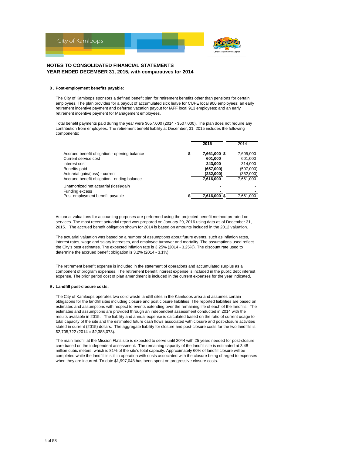

#### **8 . Post-employment benefits payable:**

The City of Kamloops sponsors a defined benefit plan for retirement benefits other than pensions for certain employees. The plan provides for a payout of accumulated sick leave for CUPE local 900 employees; an early retirement incentive payment and deferred vacation payout for IAFF local 913 employees; and an early retirement incentive payment for Management employees.

Total benefit payments paid during the year were \$657,000 (2014 - \$507,000). The plan does not require any contribution from employees. The retirement benefit liability at December, 31, 2015 includes the following components:

|                                                                                                                                                                                          |    | 2015                                                                      | 2014                                                                   |
|------------------------------------------------------------------------------------------------------------------------------------------------------------------------------------------|----|---------------------------------------------------------------------------|------------------------------------------------------------------------|
| Accrued benefit obligation - opening balance<br>Current service cost<br>Interest cost<br>Benefits paid<br>Actuarial gain/(loss) - current<br>Accrued benefit obligation - ending balance | \$ | 7,661,000 \$<br>601,000<br>243.000<br>(657,000)<br>(232,000)<br>7,616,000 | 7,605,000<br>601,000<br>314.000<br>(507,000)<br>(352,000)<br>7,661,000 |
| Unamortized net actuarial (loss)/gain<br>Funding excess<br>Post-employment benefit payable                                                                                               | S  | 7,616,000 \$                                                              | 7,661,000                                                              |

Actuarial valuations for accounting purposes are performed using the projected benefit method prorated on services. The most recent actuarial report was prepared on January 29, 2016 using data as of December 31, 2015. The accrued benefit obligation shown for 2014 is based on amounts included in the 2012 valuation.

The actuarial valuation was based on a number of assumptions about future events, such as inflation rates, interest rates, wage and salary increases, and employee turnover and mortality. The assumptions used reflect the City's best estimates. The expected inflation rate is 3.25% (2014 - 3.25%). The discount rate used to determine the accrued benefit obligation is 3.2% (2014 - 3.1%).

The retirement benefit expense is included in the statement of operations and accumulated surplus as a component of program expenses. The retirement benefit interest expense is included in the public debt interest expense. The prior period cost of plan amendment is included in the current expenses for the year indicated.

#### **9 . Landfill post-closure costs:**

The City of Kamloops operates two solid waste landfill sites in the Kamloops area and assumes certain obligations for the landfill sites including closure and post closure liabilities. The reported liabilities are based on estimates and assumptions with respect to events extending over the remaining life of each of the landfills. The estimates and assumptions are provided through an independent assessment conducted in 2014 with the results available in 2015. The liability and annual expense is calculated based on the ratio of current usage to total capacity of the site and the estimated future cash flows associated with closure and post-closure activities stated in current (2015) dollars. The aggregate liability for closure and post-closure costs for the two landfills is \$2,705,722 (2014 = \$2,388,073).

The main landfill at the Mission Flats site is expected to serve until 2044 with 25 years needed for post-closure care based on the independent assessment. The remaining capacity of the landfill site is estimated at 3.48 million cubic meters, which is 81% of the site's total capacity. Approximately 60% of landfill closure will be completed while the landfill is still in operation with costs associated with the closure being charged to expenses when they are incurred. To date \$1,997,048 has been spent on progressive closure costs.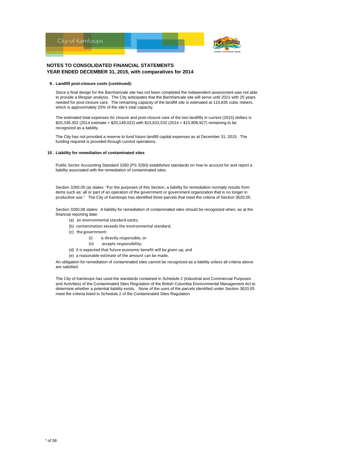

#### **9 . Landfill post-closure costs (continued):**

Since a final design for the Barnhartvale site has not been completed the independent assessment was not able to provide a lifespan analysis. The City anticipates that the Barnhartvale site will serve until 2021 with 25 years needed for post-closure care. The remaining capacity of the landfill site is estimated at 110,835 cubic meters, which is approximately 20% of the site's total capacity.

The estimated total expenses for closure and post-closure care of the two landfills in current (2015) dollars is \$20,336,302 (2014 estimate = \$20,148,022) with \$15,633,532 (2014 = \$15,806,927) remaining to be recognized as a liability.

The City has not provided a reserve to fund future landfill capital expenses as at December 31, 2015. The funding required is provided through current operations.

#### **10 . Liability for remediation of contaminated sites**

Public Sector Accounting Standard 3260 (PS 3260) establishes standards on how to account for and report a liability associated with the remediation of contaminated sites.

Section 3260.05 (a) states: "For the purposes of this Section, a liability for remediation normally results from items such as: all or part of an operation of the government or government organization that is no longer in productive use." The City of Kamloops has identified three parcels that meet the criteria of Section 3620.05.

Section 3260.08 states: A liability for remediation of contaminated sites should be recognized when, as at the financial reporting date:

- (a) an environmental standard exists;
- (b) contamination exceeds the environmental standard;
- (c) the government:
	- (i) is directly responsible; or
	- (ii) accepts responsibility;
- (d) it is expected that future economic benefit will be given up; and
- (e) a reasonable estimate of the amount can be made.

An obligation for remediation of contaminated sites cannot be recognized as a liability unless all criteria above are satisfied.

The City of Kamloops has used the standards contained in Schedule 2 (Industrial and Commercial Purposes and Activities) of the Contaminated Sites Regulation of the British Columbia Environmental Management Act to determine whether a potential liability exists. None of the uses of the parcels identified under Section 3620.05 meet the criteria listed in Schedule 2 of the Contaminated Sites Regulation.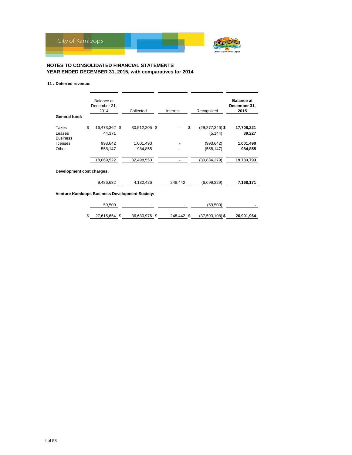

#### **11 . Deferred revenue:**

| General fund:                                  | Balance at<br>December 31,<br>2014 | Collected     | Interest   | Recognized                            | <b>Balance at</b><br>December 31,<br>2015 |
|------------------------------------------------|------------------------------------|---------------|------------|---------------------------------------|-------------------------------------------|
| Taxes<br>Leases<br><b>Business</b>             | \$<br>16,473,362 \$<br>44.371      | 30,512,205 \$ |            | \$<br>$(29, 277, 346)$ \$<br>(5, 144) | 17,708,221<br>39,227                      |
| licenses                                       | 993,642                            | 1,001,490     |            | (993, 642)                            | 1,001,490                                 |
| Other                                          | 558,147                            | 984,855       |            | (558, 147)                            | 984,855                                   |
|                                                | 18,069,522                         | 32,498,550    |            | (30, 834, 279)                        | 19,733,793                                |
| Development cost charges:                      |                                    |               |            |                                       |                                           |
|                                                | 9,486,632                          | 4,132,426     | 248,442    | (6,699,329)                           | 7,168,171                                 |
| Venture Kamloops Business Development Society: |                                    |               |            |                                       |                                           |
|                                                | 59,500                             |               |            | (59, 500)                             |                                           |
|                                                | \$<br>27,615,654 \$                | 36,630,976 \$ | 248,442 \$ | $(37,593,108)$ \$                     | 26,901,964                                |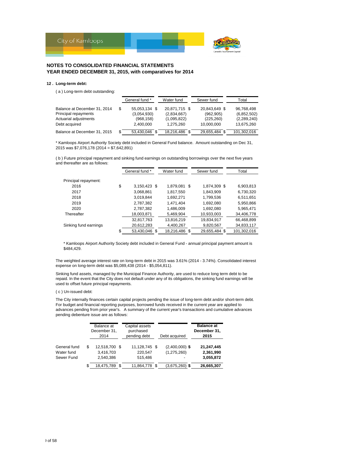

#### **12 . Long-term debt:**

( a ) Long-term debt outstanding:

|                                                                                                |    | General fund *                                          | Water fund                                               | Sewer fund                                              | Total                                                  |
|------------------------------------------------------------------------------------------------|----|---------------------------------------------------------|----------------------------------------------------------|---------------------------------------------------------|--------------------------------------------------------|
| Balance at December 31, 2014<br>Principal repayments<br>Actuarial adjustments<br>Debt acquired | \$ | 55,053,134 \$<br>(3,054,930)<br>(968, 158)<br>2.400.000 | 20,871,715 \$<br>(2,834,667)<br>(1,095,822)<br>1.275.260 | 20.843.649 \$<br>(962, 905)<br>(225, 260)<br>10.000.000 | 96,768,498<br>(6,852,502)<br>(2,289,240)<br>13.675.260 |
| Balance at December 31, 2015                                                                   | S  | 53,430,046<br>- \$                                      | 18.216.486 \$                                            | 29,655,484 \$                                           | 101,302,016                                            |

\* Kamloops Airport Authority Society debt included in General Fund balance. Amount outstanding on Dec 31, 2015 was \$7,076,178 (2014 = \$7,642,891)

( b ) Future principal repayment and sinking fund earnings on outstanding borrowings over the next five years and thereafter are as follows:

|                       | General fund *      | Water fund    | Sewer fund    | Total       |
|-----------------------|---------------------|---------------|---------------|-------------|
| Principal repayment:  |                     |               |               |             |
| 2016                  | \$<br>3,150,423 \$  | 1,879,081 \$  | 1,874,309 \$  | 6,903,813   |
| 2017                  | 3,068,861           | 1,817,550     | 1,843,909     | 6,730,320   |
| 2018                  | 3,019,844           | 1,692,271     | 1,799,536     | 6,511,651   |
| 2019                  | 2,787,382           | 1,471,404     | 1,692,080     | 5,950,866   |
| 2020                  | 2,787,382           | 1,486,009     | 1,692,080     | 5,965,471   |
| Thereafter            | 18,003,871          | 5,469,904     | 10,933,003    | 34,406,778  |
|                       | 32,817,763          | 13,816,219    | 19,834,917    | 66,468,899  |
| Sinking fund earnings | 20,612,283          | 4,400,267     | 9,820,567     | 34,833,117  |
|                       | \$<br>53,430,046 \$ | 18,216,486 \$ | 29,655,484 \$ | 101,302,016 |

\* Kamloops Airport Authority Society debt included in General Fund - annual principal payment amount is \$484,429.

The weighted average interest rate on long-term debt in 2015 was 3.61% (2014 - 3.74%). Consolidated interest expense on long-term debt was \$5,089,438 (2014 - \$5,054,811).

Sinking fund assets, managed by the Municipal Finance Authority, are used to reduce long term debt to be repaid. In the event that the City does not default under any of its obligations, the sinking fund earnings will be used to offset future principal repayments.

#### ( c ) Un-issued debt:

The City internally finances certain capital projects pending the issue of long-term debt and/or short-term debt. For budget and financial reporting purposes, borrowed funds received in the current year are applied to advances pending from prior year's. A summary of the current year's transactions and cumulative advances pending debenture issue are as follows:

|                          | Balance at<br>December 31,<br>2014 |      | Capital assets<br>purchased<br>pending debt |      | Debt acquired    | <b>Balance at</b><br>December 31,<br>2015 |
|--------------------------|------------------------------------|------|---------------------------------------------|------|------------------|-------------------------------------------|
| General fund             | \$<br>12,518,700 \$                |      | 11,128,745 \$                               |      | $(2,400,000)$ \$ | 21,247,445                                |
| Water fund<br>Sewer Fund | 3,416,703<br>2,540,386             |      | 220.547<br>515,486                          |      | (1,275,260)      | 2,361,990<br>3,055,872                    |
|                          | \$<br>18,475,789                   | - \$ | 11,864,778                                  | - \$ | $(3,675,260)$ \$ | 26,665,307                                |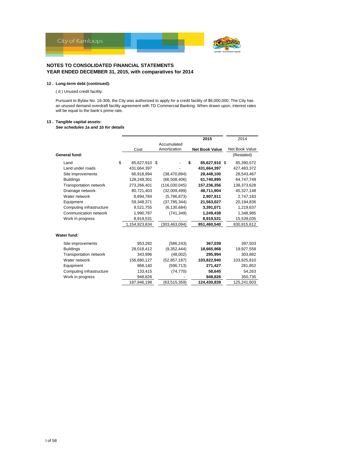

## **12 . Long-term debt (continued):**

( d ) Unused credit facility:

Pursuant to Bylaw No. 16-306, the City was authorized to apply for a credit facility of \$6,000,000. The City has an unused demand overdraft facility agreement with TD Commercial Banking. When drawn upon, interest rates will be equal to the bank's prime rate.

## **13 . Tangible capital assets:**

*See schedules 1a and 1b for details*

|                               |                  |                 | 2015                  | 2014           |
|-------------------------------|------------------|-----------------|-----------------------|----------------|
|                               |                  | Accumulated     |                       |                |
|                               | Cost             | Amortization    | <b>Net Book Value</b> | Net Book Value |
| General fund:                 |                  |                 |                       | (Restated)     |
| Land                          | \$<br>85,627,910 | \$              | 85,627,910 \$<br>\$   | 85,390,572     |
| Land under roads              | 431,664,397      |                 | 431,664,397           | 427,483,372    |
| Site improvements             | 66,918,994       | (38, 470, 894)  | 28,448,100            | 28,543,467     |
| <b>Buildings</b>              | 128.249.301      | (66, 508, 406)  | 61.740.895            | 64.747.749     |
| <b>Transportation network</b> | 273,266,401      | (116,030,045)   | 157,236,356           | 138,373,628    |
| Drainage network              | 80,721,403       | (32,009,499)    | 48,711,904            | 45,327,148     |
| Water network                 | 8,694,784        | (5,786,873)     | 2,907,911             | 2,747,183      |
| Equipment                     | 59,348,371       | (37, 785, 344)  | 21,563,027            | 20,194,836     |
| Computing infrastructure      | 9,521,755        | (6, 130, 684)   | 3,391,071             | 1,219,637      |
| Communication network         | 1,990,787        | (741, 349)      | 1,249,438             | 1,348,985      |
| Work in progress              | 8,919,531        |                 | 8,919,531             | 15,539,035     |
|                               | 1,154,923,634    | (303, 463, 094) | 851,460,540           | 830,915,612    |
| Water fund:                   |                  |                 |                       |                |
| Site improvements             | 953,282          | (586, 243)      | 367,039               | 397,503        |
| <b>Buildings</b>              | 28,018,412       | (9,352,444)     | 18,665,968            | 19,927,558     |
| <b>Transportation network</b> | 343,996          | (48,002)        | 295,994               | 303,882        |
| Water network                 | 156,680,127      | (52, 857, 187)  | 103,822,940           | 103,925,810    |
| Equipment                     | 868,140          | (596, 713)      | 271,427               | 281,852        |
| Computing infrastructure      | 133,415          | (74, 770)       | 58,645                | 54,263         |
| Work in progress              | 948,826          |                 | 948,826               | 350,735        |
|                               | 187,946,198      | (63, 515, 359)  | 124,430,839           | 125,241,603    |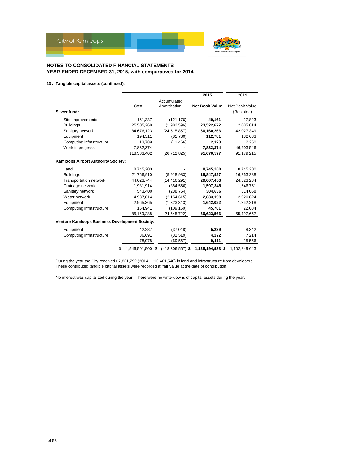

## **13 . Tangible capital assets (continued):**

|                                                |                      |                | 2015                                | 2014           |
|------------------------------------------------|----------------------|----------------|-------------------------------------|----------------|
|                                                |                      | Accumulated    |                                     |                |
|                                                | Cost                 | Amortization   | <b>Net Book Value</b>               | Net Book Value |
| Sewer fund:                                    |                      |                |                                     | (Restated)     |
| Site improvements                              | 161,337              | (121, 176)     | 40,161                              | 27,823         |
| <b>Buildings</b>                               | 25,505,268           | (1,982,596)    | 23,522,672                          | 2,085,614      |
| Sanitary network                               | 84,676,123           | (24, 515, 857) | 60,160,266                          | 42,027,349     |
| Equipment                                      | 194,511              | (81,730)       | 112,781                             | 132,633        |
| Computing infrastructure                       | 13,789               | (11, 466)      | 2,323                               | 2,250          |
| Work in progress                               | 7,832,374            |                | 7,832,374                           | 46,903,546     |
|                                                | 118,383,402          | (26, 712, 825) | 91,670,577                          | 91,179,215     |
| <b>Kamloops Airport Authority Society:</b>     |                      |                |                                     |                |
| Land                                           | 8,745,200            |                | 8,745,200                           | 8,745,200      |
| <b>Buildings</b>                               | 21,766,910           | (5,918,983)    | 15,847,927                          | 16,263,288     |
| <b>Transportation network</b>                  | 44,023,744           | (14, 416, 291) | 29,607,453                          | 24,323,234     |
| Drainage network                               | 1,981,914            | (384, 566)     | 1,597,348                           | 1,646,751      |
| Sanitary network                               | 543,400              | (238, 764)     | 304,636                             | 314,058        |
| Water network                                  | 4,987,814            | (2, 154, 615)  | 2,833,199                           | 2,920,824      |
| Equipment                                      | 2,965,365            | (1,323,343)    | 1,642,022                           | 1,262,218      |
| Computing infrastructure                       | 154,941              | (109, 160)     | 45,781                              | 22,084         |
|                                                | 85,169,288           | (24, 545, 722) | 60,623,566                          | 55,497,657     |
| Venture Kamloops Business Development Society: |                      |                |                                     |                |
| Equipment                                      | 42,287               | (37, 048)      | 5,239                               | 8,342          |
| Computing infrastructure                       | 36,691               | (32,519)       | 4,172                               | 7,214          |
|                                                | 78,978               | (69, 567)      | 9.411                               | 15,556         |
| S                                              | 1,546,501,500<br>\$. |                | $(418,306,567)$ \$ 1,128,194,933 \$ | 1,102,849,643  |

During the year the City received \$7,821,792 (2014 - \$16,461,540) in land and infrastructure from developers. These contributed tangible capital assets were recorded at fair value at the date of contribution.

No interest was capitalized during the year. There were no write-downs of capital assets during the year.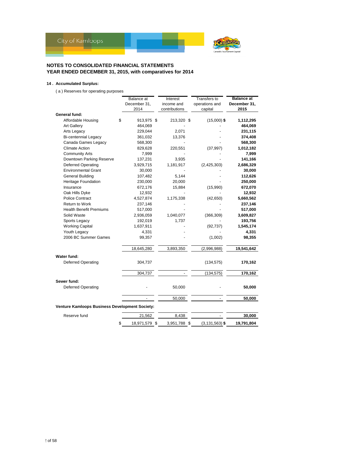

## **14 . Accumulated Surplus:**

( a ) Reserves for operating purposes

|                                                | Balance at          | Interest      | Transfers to       | <b>Balance at</b> |
|------------------------------------------------|---------------------|---------------|--------------------|-------------------|
|                                                | December 31,        | income and    | operations and     | December 31,      |
|                                                | 2014                | contributions | capital            | 2015              |
| General fund:                                  |                     |               |                    |                   |
| Affordable Housing                             | \$<br>913,975 \$    | 213,320 \$    | $(15,000)$ \$      | 1,112,295         |
| Art Gallery                                    | 464,069             |               |                    | 464,069           |
| Arts Legacy                                    | 229,044             | 2,071         |                    | 231,115           |
| <b>Bi-centennial Legacy</b>                    | 361,032             | 13,376        |                    | 374,408           |
| Canada Games Legacy                            | 568,300             |               |                    | 568,300           |
| <b>Climate Action</b>                          | 829,628             | 220,551       | (37, 997)          | 1,012,182         |
| <b>Community Arts</b>                          | 7,999               |               |                    | 7,999             |
| Downtown Parking Reserve                       | 137,231             | 3,935         |                    | 141,166           |
| <b>Deferred Operating</b>                      | 3,929,715           | 1,181,917     | (2,425,303)        | 2,686,329         |
| <b>Environmental Grant</b>                     | 30,000              |               |                    | 30,000            |
| General Building                               | 107,482             | 5,144         |                    | 112,626           |
| Heritage Foundation                            | 230,000             | 20,000        |                    | 250,000           |
| Insurance                                      | 672,176             | 15,884        | (15,990)           | 672,070           |
| Oak Hills Dyke                                 | 12,932              |               |                    | 12,932            |
| <b>Police Contract</b>                         | 4,527,874           | 1,175,338     | (42, 650)          | 5,660,562         |
| <b>Return to Work</b>                          | 237,146             |               |                    | 237,146           |
| <b>Health Benefit Premiums</b>                 | 517,000             |               |                    | 517,000           |
| Solid Waste                                    | 2,936,059           | 1,040,077     | (366, 309)         | 3,609,827         |
| Sports Legacy                                  | 192,019             | 1,737         |                    | 193,756           |
| <b>Working Capital</b>                         | 1,637,911           |               | (92, 737)          | 1,545,174         |
| Youth Legacy                                   | 4,331               |               |                    | 4,331             |
| 2006 BC Summer Games                           | 99,357              |               | (1,002)            | 98,355            |
|                                                | 18,645,280          | 3,893,350     | (2,996,988)        | 19,541,642        |
| Water fund:                                    |                     |               |                    |                   |
| <b>Deferred Operating</b>                      | 304,737             |               | (134, 575)         | 170,162           |
|                                                | 304,737             |               | (134, 575)         | 170,162           |
| Sewer fund:                                    |                     |               |                    |                   |
| <b>Deferred Operating</b>                      |                     | 50,000        |                    | 50,000            |
|                                                |                     | 50,000        |                    | 50,000            |
| Venture Kamloops Business Development Society: |                     |               |                    |                   |
| Reserve fund                                   | 21,562              | 8,438         |                    | 30,000            |
|                                                | \$<br>18,971,579 \$ | 3,951,788 \$  | $(3, 131, 563)$ \$ | 19,791,804        |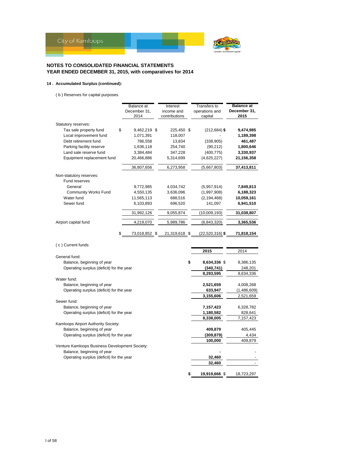

## **14 . Accumulated Surplus (continued):**

( b ) Reserves for capital purposes

|                                                | Balance at          | Interest      | Transfers to        | <b>Balance</b> at |
|------------------------------------------------|---------------------|---------------|---------------------|-------------------|
|                                                | December 31,        | income and    | operations and      | December 31,      |
|                                                | 2014                | contributions | capital             | 2015              |
| Statutory reserves:                            |                     |               |                     |                   |
| Tax sale property fund                         | \$<br>9,462,219 \$  | 225,450 \$    | $(212, 684)$ \$     | 9,474,985         |
| Local improvement fund                         | 1,071,391           | 118,007       |                     | 1,189,398         |
| Debt retirement fund                           | 786,558             | 13,834        | (338, 905)          | 461,487           |
| Parking facility reserve                       | 1,636,118           | 254,740       | (90, 212)           | 1,800,646         |
| Land sale reserve fund                         | 3,384,484           | 347,228       | (400, 775)          | 3,330,937         |
| Equipment replacement fund                     | 20,466,886          | 5,314,699     | (4,625,227)         | 21,156,358        |
|                                                |                     |               |                     |                   |
|                                                | 36,807,656          | 6,273,958     | (5,667,803)         | 37,413,811        |
| Non-statutory reserves:                        |                     |               |                     |                   |
| Fund reserves                                  |                     |               |                     |                   |
| General                                        | 9,772,985           | 4,034,742     | (5,957,914)         | 7,849,813         |
| <b>Community Works Fund</b>                    | 4,550,135           | 3,636,096     | (1,997,908)         | 6,188,323         |
| Water fund                                     | 11,565,113          | 688,516       | (2, 194, 468)       | 10,059,161        |
| Sewer fund                                     | 6,103,893           | 696,520       | 141,097             | 6,941,510         |
|                                                |                     |               |                     |                   |
|                                                | 31,992,126          | 9,055,874     | (10,009,193)        | 31,038,807        |
| Airport capital fund                           | 4,219,070           | 5,989,786     | (6,843,320)         | 3,365,536         |
|                                                |                     |               |                     |                   |
|                                                | \$<br>73,018,852 \$ | 21,319,618 \$ | $(22,520,316)$ \$   | 71,818,154        |
| (c) Current funds                              |                     |               |                     |                   |
|                                                |                     |               | 2015                | 2014              |
| General fund:                                  |                     |               |                     |                   |
| Balance, beginning of year                     |                     |               | \$<br>8,634,336 \$  | 8,386,135         |
| Operating surplus (deficit) for the year       |                     |               | (340, 741)          | 248,201           |
|                                                |                     |               | 8,293,595           | 8,634,336         |
| Water fund:                                    |                     |               |                     |                   |
| Balance, beginning of year                     |                     |               | 2,521,659           | 4,008,268         |
| Operating surplus (deficit) for the year       |                     |               | 633,947             | (1,486,609)       |
|                                                |                     |               | 3,155,606           | 2,521,659         |
| Sewer fund:                                    |                     |               |                     |                   |
| Balance, beginning of year                     |                     |               | 7,157,423           | 6,328,782         |
| Operating surplus (deficit) for the year       |                     |               | 1,180,582           | 828,641           |
|                                                |                     |               | 8,338,005           | 7,157,423         |
| Kamloops Airport Authority Society:            |                     |               |                     |                   |
| Balance, beginning of year                     |                     |               | 409,879             | 405,445           |
| Operating surplus (deficit) for the year       |                     |               | (309, 879)          | 4,434             |
|                                                |                     |               | 100,000             | 409,879           |
| Venture Kamloops Business Development Society: |                     |               |                     |                   |
| Balance, beginning of year                     |                     |               |                     |                   |
| Operating surplus (deficit) for the year       |                     |               | 32,460              |                   |
|                                                |                     |               | 32,460              |                   |
|                                                |                     |               |                     |                   |
|                                                |                     |               | \$<br>19,919,666 \$ | 18,723,297        |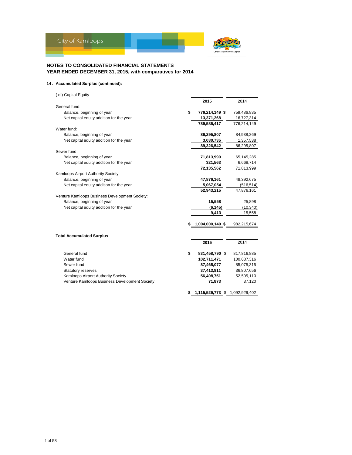

## **14 . Accumulated Surplus (continued):**

| (d) Capital Equity                             |                        |               |
|------------------------------------------------|------------------------|---------------|
|                                                | 2015                   | 2014          |
| General fund:                                  |                        |               |
| Balance, beginning of year                     | \$<br>776,214,149 \$   | 759,486,835   |
| Net capital equity addition for the year       | 13,371,268             | 16,727,314    |
|                                                | 789,585,417            | 776,214,149   |
| Water fund:                                    |                        |               |
| Balance, beginning of year                     | 86,295,807             | 84,938,269    |
| Net capital equity addition for the year       | 3,030,735              | 1,357,538     |
|                                                | 89,326,542             | 86,295,807    |
| Sewer fund:                                    |                        |               |
| Balance, beginning of year                     | 71,813,999             | 65,145,285    |
| Net capital equity addition for the year       | 321,563                | 6,668,714     |
|                                                | 72,135,562             | 71,813,999    |
| Kamloops Airport Authority Society:            |                        |               |
| Balance, beginning of year                     | 47,876,161             | 48,392,675    |
| Net capital equity addition for the year       | 5,067,054              | (516, 514)    |
|                                                | 52,943,215             | 47,876,161    |
| Venture Kamloops Business Development Society: |                        |               |
| Balance, beginning of year                     | 15,558                 | 25,898        |
| Net capital equity addition for the year       | (6, 145)               | (10, 340)     |
|                                                | 9,413                  | 15,558        |
|                                                |                        |               |
|                                                | \$<br>1,004,000,149 \$ | 982,215,674   |
| <b>Total Accumulated Surplus</b>               |                        |               |
|                                                | 2015                   | 2014          |
|                                                |                        |               |
| General fund                                   | \$<br>831,458,790 \$   | 817,816,885   |
| Water fund                                     | 102,711,471            | 100,687,316   |
| Sewer fund                                     | 87,465,077             | 85,075,315    |
| Statutory reserves                             | 37,413,811             | 36,807,656    |
| Kamloops Airport Authority Society             | 56,408,751             | 52,505,110    |
| Venture Kamloops Business Development Society  | 71,873                 | 37,120        |
|                                                |                        |               |
|                                                | \$<br>1,115,529,773 \$ | 1,092,929,402 |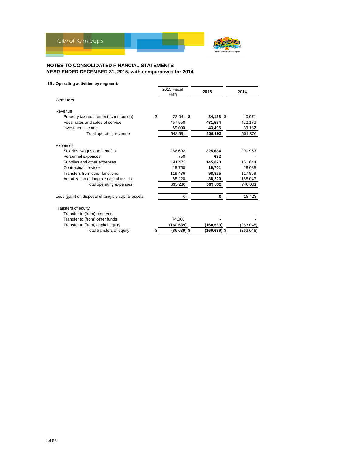

## **15 . Operating activities by segment:**

|                                                    |    | 2015 Fiscal<br>Plan | 2015         | 2014       |
|----------------------------------------------------|----|---------------------|--------------|------------|
| Cemetery:                                          |    |                     |              |            |
| Revenue                                            |    |                     |              |            |
| Property tax requirement (contribution)            | \$ | $22,041$ \$         | 34,123 \$    | 40,071     |
| Fees, rates and sales of service                   |    | 457,550             | 431,574      | 422,173    |
| Investment income                                  |    | 69,000              | 43,496       | 39,132     |
| Total operating revenue                            |    | 548,591             | 509,193      | 501,376    |
| <b>Expenses</b>                                    |    |                     |              |            |
| Salaries, wages and benefits                       |    | 266,602             | 325,634      | 290,963    |
| Personnel expenses                                 |    | 750                 | 632          |            |
| Supplies and other expenses                        |    | 141,472             | 145,820      | 151,044    |
| Contractual services                               |    | 18,750              | 10,701       | 18,088     |
| Transfers from other functions                     |    | 119,436             | 98,825       | 117,859    |
| Amortization of tangible capital assets            |    | 88,220              | 88,220       | 168,047    |
| Total operating expenses                           |    | 635,230             | 669,832      | 746,001    |
| Loss (gain) on disposal of tangible capital assets |    |                     |              | 18,423     |
| Transfers of equity                                |    |                     |              |            |
| Transfer to (from) reserves                        |    |                     |              |            |
| Transfer to (from) other funds                     |    | 74,000              |              |            |
| Transfer to (from) capital equity                  |    | 160,639)            | (160,639)    | (263, 048) |
| Total transfers of equity                          | S  | $(86, 639)$ \$      | (160,639) \$ | (263, 048) |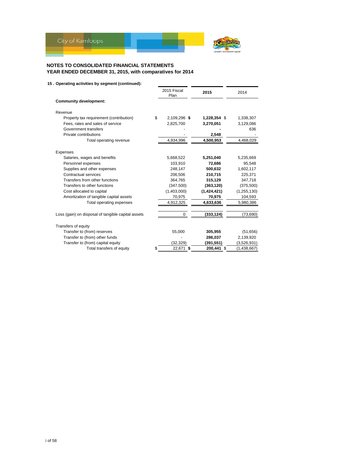

| 15. Operating activities by segment (continued):   |    |                     |              |               |
|----------------------------------------------------|----|---------------------|--------------|---------------|
|                                                    |    | 2015 Fiscal<br>Plan | 2015         | 2014          |
| <b>Community development:</b>                      |    |                     |              |               |
| Revenue                                            |    |                     |              |               |
| Property tax requirement (contribution)            | \$ | 2,109,296 \$        | 1,228,354 \$ | 1,338,307     |
| Fees, rates and sales of service                   |    | 2,825,700           | 3,270,051    | 3,129,086     |
| Government transfers                               |    |                     |              | 636           |
| Private contributions                              |    |                     | 2,548        |               |
| Total operating revenue                            |    | 4,934,996           | 4,500,953    | 4,468,029     |
| Expenses                                           |    |                     |              |               |
| Salaries, wages and benefits                       |    | 5,668,522           | 5,251,040    | 5,235,669     |
| Personnel expenses                                 |    | 103,910             | 72,686       | 95,548        |
| Supplies and other expenses                        |    | 248,147             | 500,632      | 1,602,117     |
| Contractual services                               |    | 206,506             | 210,715      | 225,371       |
| Transfers from other functions                     |    | 364,765             | 315,129      | 347,718       |
| Transfers to other functions                       |    | (347,500)           | (363, 120)   | (375,500)     |
| Cost allocated to capital                          |    | (1,403,000)         | (1,424,421)  | (1, 255, 130) |
| Amortization of tangible capital assets            |    | 70,975              | 70,975       | 104,593       |
| Total operating expenses                           |    | 4,912,325           | 4,633,636    | 5,980,386     |
|                                                    |    |                     |              |               |
| Loss (gain) on disposal of tangible capital assets |    | $\mathbf 0$         | (333, 124)   | (73, 690)     |
| Transfers of equity                                |    |                     |              |               |
| Transfer to (from) reserves                        |    | 55,000              | 305,955      | (51,656)      |
| Transfer to (from) other funds                     |    |                     | 286,037      | 2,139,920     |
| Transfer to (from) capital equity                  |    | (32, 329)           | (391,551)    | (3,526,931)   |
| Total transfers of equity                          | S  | 22,671 \$           | 200,441 \$   | (1,438,667)   |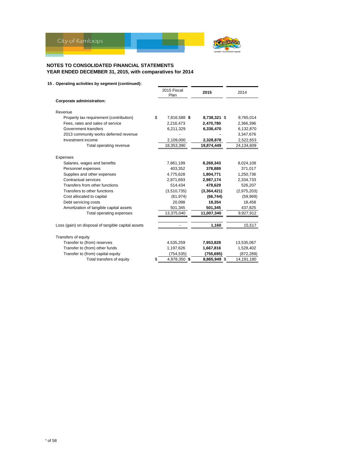

| 15. Operating activities by segment (continued):   |                     |              |             |
|----------------------------------------------------|---------------------|--------------|-------------|
|                                                    | 2015 Fiscal<br>Plan | 2015         | 2014        |
| Corporate administration:                          |                     |              |             |
| Revenue                                            |                     |              |             |
| Property tax requirement (contribution)            | \$<br>7,816,588 \$  | 8,738,321 \$ | 9,765,014   |
| Fees, rates and sales of service                   | 2,216,473           | 2,470,780    | 2,366,396   |
| Government transfers                               | 6,211,329           | 6,336,470    | 6,132,870   |
| 2013 community works deferred revenue              |                     |              | 3,347,676   |
| Investment income                                  | 2,109,000           | 2,328,878    | 2,522,653   |
| Total operating revenue                            | 18,353,390          | 19,874,449   | 24,134,609  |
| <b>Expenses</b>                                    |                     |              |             |
| Salaries, wages and benefits                       | 7,861,199           | 8,269,343    | 8,024,108   |
| Personnel expenses                                 | 403,352             | 378,889      | 371,017     |
| Supplies and other expenses                        | 4,775,628           | 1,804,771    | 1,250,736   |
| Contractual services                               | 2,871,693           | 2,987,174    | 2,334,733   |
| Transfers from other functions                     | 514,434             | 478,629      | 526,207     |
| Transfers to other functions                       | (3,510,735)         | (3,364,421)  | (2,975,203) |
| Cost allocated to capital                          | (61, 974)           | (66, 744)    | (59, 969)   |
| Debt servicing costs                               | 20,098              | 18,354       | 18,458      |
| Amortization of tangible capital assets            | 501,345             | 501,345      | 437,825     |
| Total operating expenses                           | 13,375,040          | 11,007,340   | 9,927,912   |
| Loss (gain) on disposal of tangible capital assets |                     | 1,160        | 15,517      |
|                                                    |                     |              |             |
| Transfers of equity                                |                     |              |             |
| Transfer to (from) reserves                        | 4,535,259           | 7,953,828    | 13,535,067  |
| Transfer to (from) other funds                     | 1,197,626           | 1,667,816    | 1,528,402   |
| Transfer to (from) capital equity                  | (754, 535)          | (755, 695)   | (872, 289)  |
| Total transfers of equity                          | \$<br>4,978,350 \$  | 8,865,949 \$ | 14,191,180  |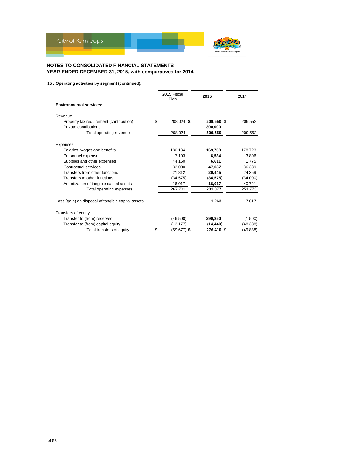

|                                                    | 2015 Fiscal<br>Plan | 2015       | 2014     |
|----------------------------------------------------|---------------------|------------|----------|
| <b>Environmental services:</b>                     |                     |            |          |
| Revenue                                            |                     |            |          |
| Property tax requirement (contribution)            | \$<br>208,024 \$    | 209,550 \$ | 209,552  |
| Private contributions                              |                     | 300,000    |          |
| Total operating revenue                            | 208.024             | 509.550    | 209.552  |
| <b>Expenses</b>                                    |                     |            |          |
| Salaries, wages and benefits                       | 180,184             | 169,758    | 178,723  |
| Personnel expenses                                 | 7.103               | 6.534      | 3.806    |
| Supplies and other expenses                        | 44,160              | 6.611      | 1,775    |
| Contractual services                               | 33,000              | 47,087     | 36,389   |
| Transfers from other functions                     | 21,812              | 20,445     | 24,359   |
| Transfers to other functions                       | (34, 575)           | (34, 575)  | (34,000) |
| Amortization of tangible capital assets            | 16,017              | 16,017     | 40,721   |
| Total operating expenses                           | 267,701             | 231,877    | 251,773  |
| Loss (gain) on disposal of tangible capital assets |                     | 1,263      | 7,617    |
| Transfers of equity                                |                     |            |          |
| Transfer to (from) reserves                        | (46, 500)           | 290.850    | (1,500)  |
| Transfer to (from) capital equity                  | (13, 177)           | (14, 440)  | (48,338) |
| Total transfers of equity                          | (59,677) \$         | 276,410 \$ | (49,838) |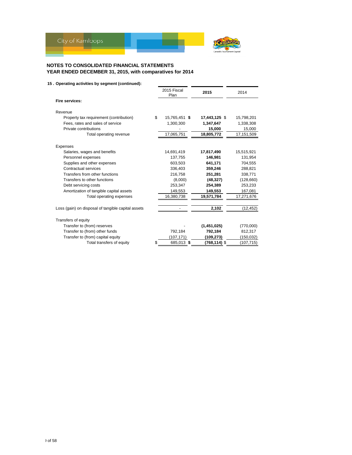

|                                                    | 2015 Fiscal<br>Plan | 2015          | 2014       |
|----------------------------------------------------|---------------------|---------------|------------|
| Fire services:                                     |                     |               |            |
| Revenue                                            |                     |               |            |
| Property tax requirement (contribution)            | \$<br>15,765,451 \$ | 17,443,125 \$ | 15,798,201 |
| Fees, rates and sales of service                   | 1,300,300           | 1,347,647     | 1,338,308  |
| Private contributions                              |                     | 15,000        | 15,000     |
| Total operating revenue                            | 17,065,751          | 18,805,772    | 17,151,509 |
| Expenses                                           |                     |               |            |
| Salaries, wages and benefits                       | 14,691,419          | 17,817,490    | 15,515,921 |
| Personnel expenses                                 | 137,755             | 146.981       | 131.954    |
| Supplies and other expenses                        | 603,503             | 641,171       | 704,555    |
| Contractual services                               | 336,403             | 359,246       | 288,821    |
| Transfers from other functions                     | 216,758             | 251,281       | 338,771    |
| Transfers to other functions                       | (8,000)             | (48, 327)     | (128,660)  |
| Debt servicing costs                               | 253,347             | 254,389       | 253,233    |
| Amortization of tangible capital assets            | 149,553             | 149,553       | 167,081    |
| Total operating expenses                           | 16,380,738          | 19,571,784    | 17,271,676 |
|                                                    |                     |               |            |
| Loss (gain) on disposal of tangible capital assets |                     | 2,102         | (12,452)   |
| Transfers of equity                                |                     |               |            |
| Transfer to (from) reserves                        |                     | (1,451,025)   | (770,000)  |
| Transfer to (from) other funds                     | 792,184             | 792,184       | 812,317    |
| Transfer to (from) capital equity                  | (107,171)           | (109,273)     | (150, 032) |
| Total transfers of equity                          | 685,013 \$          | (768,114) \$  | (107, 715) |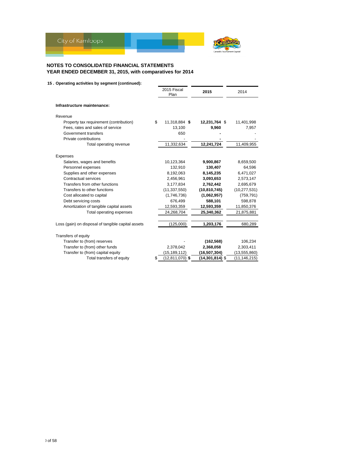

|                                                    | 2015 Fiscal<br>Plan | 2015            | 2014           |
|----------------------------------------------------|---------------------|-----------------|----------------|
| Infrastructure maintenance:                        |                     |                 |                |
| Revenue                                            |                     |                 |                |
| Property tax requirement (contribution)            | \$<br>11,318,884 \$ | 12,231,764 \$   | 11,401,998     |
| Fees, rates and sales of service                   | 13,100              | 9,960           | 7,957          |
| Government transfers                               | 650                 |                 |                |
| Private contributions                              |                     |                 |                |
| Total operating revenue                            | 11,332,634          | 12,241,724      | 11,409,955     |
| Expenses                                           |                     |                 |                |
| Salaries, wages and benefits                       | 10,123,364          | 9,900,867       | 8,659,500      |
| Personnel expenses                                 | 132,910             | 130,407         | 64,596         |
| Supplies and other expenses                        | 8,192,063           | 8,145,235       | 6,471,027      |
| Contractual services                               | 2,456,961           | 3,093,653       | 2,573,147      |
| Transfers from other functions                     | 3,177,834           | 2,762,442       | 2,695,679      |
| Transfers to other functions                       | (11, 337, 550)      | (10, 810, 745)  | (10, 277, 531) |
| Cost allocated to capital                          | (1,746,736)         | (1,062,957)     | (759, 791)     |
| Debt servicing costs                               | 676,499             | 588,101         | 598,878        |
| Amortization of tangible capital assets            | 12,593,359          | 12,593,359      | 11,850,376     |
| Total operating expenses                           | 24,268,704          | 25,340,362      | 21,875,881     |
|                                                    |                     |                 |                |
| Loss (gain) on disposal of tangible capital assets | (125,000)           | 1,203,176       | 680,289        |
| Transfers of equity                                |                     |                 |                |
| Transfer to (from) reserves                        |                     | (162, 568)      | 106,234        |
| Transfer to (from) other funds                     | 2,378,042           | 2,368,058       | 2,303,411      |
| Transfer to (from) capital equity                  | (15, 189, 112)      | (16, 507, 304)  | (13,555,860)   |
| Total transfers of equity                          | (12,811,070) \$     | (14,301,814) \$ | (11,146,215)   |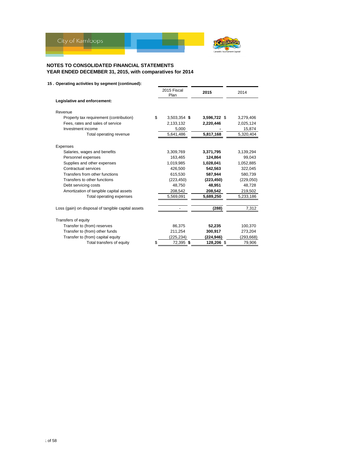

| 15. Operating activities by segment (continued):   |                     |              |            |
|----------------------------------------------------|---------------------|--------------|------------|
|                                                    | 2015 Fiscal<br>Plan | 2015         | 2014       |
| Legislative and enforcement:                       |                     |              |            |
| Revenue                                            |                     |              |            |
| Property tax requirement (contribution)            | \$<br>3,503,354 \$  | 3,596,722 \$ | 3,279,406  |
| Fees, rates and sales of service                   | 2,133,132           | 2,220,446    | 2,025,124  |
| Investment income                                  | 5,000               |              | 15,874     |
| Total operating revenue                            | 5,641,486           | 5,817,168    | 5,320,404  |
| Expenses                                           |                     |              |            |
| Salaries, wages and benefits                       | 3,309,769           | 3,371,795    | 3,139,294  |
| Personnel expenses                                 | 163,465             | 124,864      | 99,043     |
| Supplies and other expenses                        | 1,019,985           | 1,028,041    | 1,052,885  |
| Contractual services                               | 426,500             | 542,563      | 322,045    |
| Transfers from other functions                     | 615,530             | 587,944      | 580,739    |
| Transfers to other functions                       | (223, 450)          | (223, 450)   | (229,050)  |
| Debt servicing costs                               | 48,750              | 48,951       | 48,728     |
| Amortization of tangible capital assets            | 208,542             | 208,542      | 219,502    |
| Total operating expenses                           | 5,569,091           | 5,689,250    | 5,233,186  |
| Loss (gain) on disposal of tangible capital assets |                     | (288)        | 7,312      |
|                                                    |                     |              |            |
| Transfers of equity                                |                     |              |            |
| Transfer to (from) reserves                        | 86,375              | 52,235       | 100,370    |
| Transfer to (from) other funds                     | 211,254             | 300,917      | 273,204    |
| Transfer to (from) capital equity                  | (225, 234)          | (224,946)    | (293, 668) |
| Total transfers of equity                          | \$<br>72,395 \$     | 128,206 \$   | 79,906     |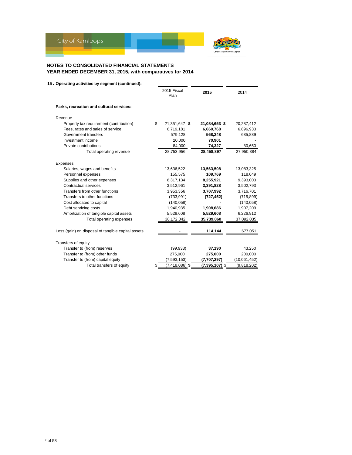

|                                                    |    | 2015 Fiscal<br>Plan | 2015           | 2014         |
|----------------------------------------------------|----|---------------------|----------------|--------------|
| Parks, recreation and cultural services:           |    |                     |                |              |
| Revenue                                            |    |                     |                |              |
| Property tax requirement (contribution)            | \$ | 21,351,647 \$       | 21,084,653 \$  | 20,287,412   |
| Fees, rates and sales of service                   |    | 6,719,181           | 6,660,768      | 6,896,933    |
| Government transfers                               |    | 579.128             | 568,248        | 685,889      |
| Investment income                                  |    | 20,000              | 70,901         |              |
| Private contributions                              |    | 84,000              | 74,327         | 80,650       |
| Total operating revenue                            |    | 28,753,956          | 28,458,897     | 27,950,884   |
| Expenses                                           |    |                     |                |              |
| Salaries, wages and benefits                       |    | 13,636,522          | 13,563,508     | 13,083,325   |
| Personnel expenses                                 |    | 155,575             | 109,769        | 118,049      |
| Supplies and other expenses                        |    | 8,317,134           | 8,255,921      | 9,393,003    |
| Contractual services                               |    | 3,512,961           | 3,391,828      | 3,502,793    |
| Transfers from other functions                     |    | 3,953,356           | 3,707,992      | 3,716,701    |
| Transfers to other functions                       |    | (733, 991)          | (727, 452)     | (715, 899)   |
| Cost allocated to capital                          |    | (140, 058)          |                | (140, 058)   |
| Debt servicing costs                               |    | 1,940,935           | 1,908,686      | 1,907,209    |
| Amortization of tangible capital assets            |    | 5,529,608           | 5,529,608      | 6,226,912    |
| Total operating expenses                           |    | 36,172,042          | 35,739,860     | 37,092,035   |
|                                                    |    |                     |                |              |
| Loss (gain) on disposal of tangible capital assets |    |                     | 114,144        | 677,051      |
|                                                    |    |                     |                |              |
| Transfers of equity                                |    |                     |                |              |
| Transfer to (from) reserves                        |    | (99, 933)           | 37,190         | 43,250       |
| Transfer to (from) other funds                     |    | 275,000             | 275,000        | 200,000      |
| Transfer to (from) capital equity                  |    | (7, 593, 153)       | (7,707,297)    | (10,061,452) |
| Total transfers of equity                          | S  | $(7,418,086)$ \$    | (7,395,107) \$ | (9,818,202)  |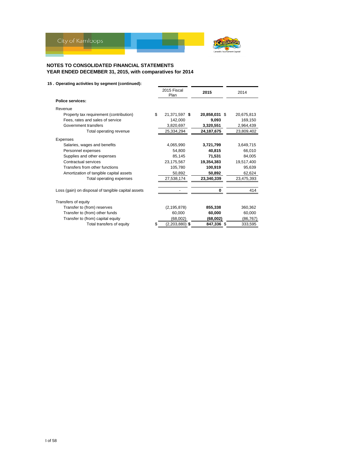

|                                                    | 2015 Fiscal<br>Plan | 2015          | 2014       |
|----------------------------------------------------|---------------------|---------------|------------|
| <b>Police services:</b>                            |                     |               |            |
| Revenue                                            |                     |               |            |
| Property tax requirement (contribution)            | \$<br>21,371,597 \$ | 20,858,031 \$ | 20,675,813 |
| Fees, rates and sales of service                   | 142.000             | 9,093         | 169.150    |
| Government transfers                               | 3,820,697           | 3,320,551     | 2,964,439  |
| Total operating revenue                            | 25,334,294          | 24, 187, 675  | 23,809,402 |
| Expenses                                           |                     |               |            |
| Salaries, wages and benefits                       | 4,065,990           | 3,721,799     | 3,649,715  |
| Personnel expenses                                 | 54,800              | 40.815        | 66,010     |
| Supplies and other expenses                        | 85,145              | 71,531        | 84,005     |
| Contractual services                               | 23,175,567          | 19,354,383    | 19,517,400 |
| Transfers from other functions                     | 105,780             | 100,919       | 95,639     |
| Amortization of tangible capital assets            | 50,892              | 50,892        | 62,624     |
| Total operating expenses                           | 27,538,174          | 23,340,339    | 23,475,393 |
| Loss (gain) on disposal of tangible capital assets |                     | n             | 414        |
| Transfers of equity                                |                     |               |            |
| Transfer to (from) reserves                        | (2, 195, 878)       | 855,338       | 360,362    |
| Transfer to (from) other funds                     | 60,000              | 60,000        | 60,000     |
| Transfer to (from) capital equity                  | (68,002)            | (68,002)      | (86, 767)  |
| Total transfers of equity                          | $(2,203,880)$ \$    | 847,336 \$    | 333,595    |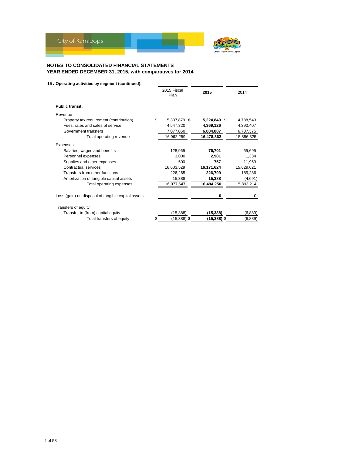

|                                                    | 2015 Fiscal<br>Plan | 2015         | 2014       |
|----------------------------------------------------|---------------------|--------------|------------|
| <b>Public transit:</b>                             |                     |              |            |
| Revenue                                            |                     |              |            |
| Property tax requirement (contribution)            | \$<br>5,337,879 \$  | 5,224,849 \$ | 4,788,543  |
| Fees, rates and sales of service                   | 4,547,320           | 4,369,126    | 4,390,407  |
| Government transfers                               | 7,077,060           | 6,884,887    | 6,707,375  |
| Total operating revenue                            | 16,962,259          | 16,478,862   | 15,886,325 |
| Expenses                                           |                     |              |            |
| Salaries, wages and benefits                       | 128,965             | 76,701       | 65,695     |
| Personnel expenses                                 | 3,000               | 2.981        | 1,334      |
| Supplies and other expenses                        | 500                 | 757          | 11,969     |
| Contractual services                               | 16,603,529          | 16,171,624   | 15,629,621 |
| Transfers from other functions                     | 226,265             | 226,799      | 189,286    |
| Amortization of tangible capital assets            | 15,388              | 15,388       | (4,691)    |
| Total operating expenses                           | 16,977,647          | 16,494,250   | 15,893,214 |
| Loss (gain) on disposal of tangible capital assets |                     | 0            |            |
| Transfers of equity                                |                     |              |            |
| Transfer to (from) capital equity                  | (15, 388)           | (15,388)     | (6,889)    |
| Total transfers of equity                          | (15,388) \$         | (15,388) \$  | (6,889)    |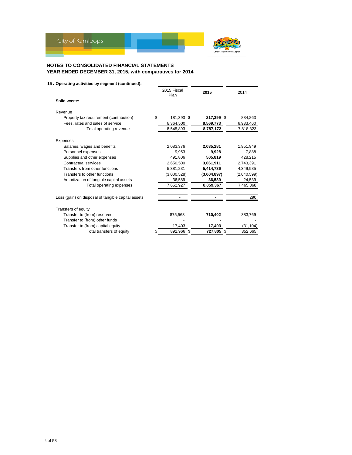

|                                                    | 2015 Fiscal<br>Plan |      | 2015        | 2014        |
|----------------------------------------------------|---------------------|------|-------------|-------------|
| Solid waste:                                       |                     |      |             |             |
| Revenue                                            |                     |      |             |             |
| Property tax requirement (contribution)            | \$<br>181,393 \$    |      | 217,399 \$  | 884,863     |
| Fees, rates and sales of service                   | 8,364,500           |      | 8,569,773   | 6,933,460   |
| Total operating revenue                            | 8,545,893           |      | 8,787,172   | 7,818,323   |
| Expenses                                           |                     |      |             |             |
| Salaries, wages and benefits                       | 2,083,376           |      | 2,035,281   | 1,951,949   |
| Personnel expenses                                 | 9,953               |      | 9.928       | 7,888       |
| Supplies and other expenses                        | 491,806             |      | 505,819     | 428,215     |
| Contractual services                               | 2,650,500           |      | 3.061.911   | 2,743,391   |
| Transfers from other functions                     | 5,381,231           |      | 5,414,736   | 4,349,985   |
| Transfers to other functions                       | (3,000,528)         |      | (3,004,897) | (2,040,599) |
| Amortization of tangible capital assets            | 36,589              |      | 36,589      | 24,539      |
| Total operating expenses                           | 7,652,927           |      | 8,059,367   | 7,465,368   |
| Loss (gain) on disposal of tangible capital assets |                     |      |             | 290         |
| Transfers of equity                                |                     |      |             |             |
| Transfer to (from) reserves                        | 875,563             |      | 710,402     | 383,769     |
| Transfer to (from) other funds                     |                     |      |             |             |
| Transfer to (from) capital equity                  | 17,403              |      | 17,403      | (31, 104)   |
| Total transfers of equity                          | \$<br>892,966       | - \$ | 727,805 \$  | 352,665     |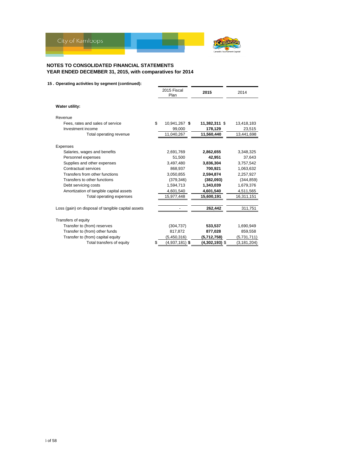

|                                                    |    | 2015 Fiscal<br>Plan | 2015           | 2014          |
|----------------------------------------------------|----|---------------------|----------------|---------------|
| <b>Water utility:</b>                              |    |                     |                |               |
| Revenue                                            |    |                     |                |               |
| Fees, rates and sales of service                   | \$ | 10,941,267 \$       | 11,382,311 \$  | 13,418,183    |
| Investment income                                  |    | 99,000              | 178,129        | 23,515        |
| Total operating revenue                            |    | 11,040,267          | 11,560,440     | 13,441,698    |
| <b>Expenses</b>                                    |    |                     |                |               |
| Salaries, wages and benefits                       |    | 2,691,769           | 2,862,655      | 3,348,325     |
| Personnel expenses                                 |    | 51,500              | 42.951         | 37,643        |
| Supplies and other expenses                        |    | 3,497,480           | 3,836,304      | 3,757,542     |
| Contractual services                               |    | 868,937             | 700,921        | 1,063,632     |
| Transfers from other functions                     |    | 3,050,855           | 2,594,874      | 2,257,927     |
| Transfers to other functions                       |    | (379, 346)          | (382,093)      | (344, 859)    |
| Debt servicing costs                               |    | 1,594,713           | 1,343,039      | 1,679,376     |
| Amortization of tangible capital assets            |    | 4,601,540           | 4,601,540      | 4,511,565     |
| Total operating expenses                           |    | 15,977,448          | 15,600,191     | 16,311,151    |
|                                                    |    |                     |                |               |
| Loss (gain) on disposal of tangible capital assets |    |                     | 262,442        | 311,751       |
| Transfers of equity                                |    |                     |                |               |
| Transfer to (from) reserves                        |    | (304, 737)          | 533,537        | 1,690,949     |
| Transfer to (from) other funds                     |    | 817,872             | 877,028        | 859,558       |
| Transfer to (from) capital equity                  |    | (5,450,316)         | (5,712,758)    | (5,731,711)   |
| Total transfers of equity                          | S  | (4,937,181) \$      | (4,302,193) \$ | (3, 181, 204) |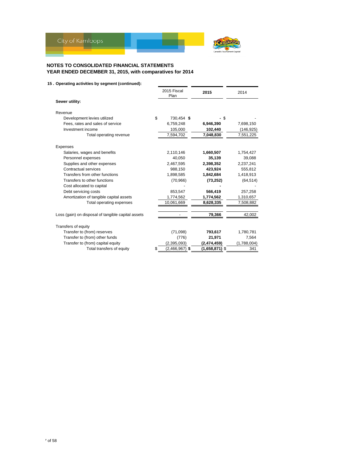

|                                                    | 2015 Fiscal<br>Plan | 2015             | 2014        |
|----------------------------------------------------|---------------------|------------------|-------------|
| Sewer utility:                                     |                     |                  |             |
| Revenue                                            |                     |                  |             |
| \$<br>Development levies utilized                  | 730.454 \$          | - \$             |             |
| Fees, rates and sales of service                   | 6,759,248           | 6,946,390        | 7,698,150   |
| Investment income                                  | 105,000             | 102,440          | (146,925)   |
| Total operating revenue                            | 7,594,702           | 7,048,830        | 7,551,225   |
| Expenses                                           |                     |                  |             |
| Salaries, wages and benefits                       | 2,110,146           | 1,660,507        | 1,754,427   |
| Personnel expenses                                 | 40,050              | 35,139           | 39,088      |
| Supplies and other expenses                        | 2,467,595           | 2,398,352        | 2,237,241   |
| Contractual services                               | 988,150             | 423,924          | 555,812     |
| Transfers from other functions                     | 1,898,585           | 1,842,684        | 1,418,913   |
| Transfers to other functions                       | (70, 966)           | (73, 252)        | (64, 514)   |
| Cost allocated to capital                          |                     |                  |             |
| Debt servicing costs                               | 853,547             | 566,419          | 257,258     |
| Amortization of tangible capital assets            | 1,774,562           | 1,774,562        | 1,310,657   |
| Total operating expenses                           | 10,061,669          | 8,628,335        | 7,508,882   |
|                                                    |                     |                  |             |
| Loss (gain) on disposal of tangible capital assets |                     | 79,366           | 42,002      |
| Transfers of equity                                |                     |                  |             |
| Transfer to (from) reserves                        | (71,098)            | 793,617          | 1,780,781   |
| Transfer to (from) other funds                     | (776)               | 21,971           | 7,564       |
| Transfer to (from) capital equity                  | (2,395,093)         | (2,474,459)      | (1,788,004) |
| Total transfers of equity                          | $(2,466,967)$ \$    | $(1,658,871)$ \$ | 341         |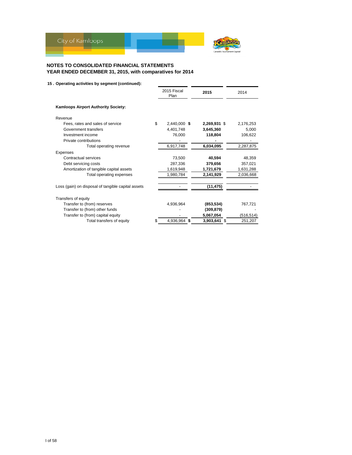

|                                                    |    | 2015 Fiscal<br>Plan |    | 2015         | 2014      |
|----------------------------------------------------|----|---------------------|----|--------------|-----------|
| <b>Kamloops Airport Authority Society:</b>         |    |                     |    |              |           |
| Revenue                                            |    |                     |    |              |           |
| Fees, rates and sales of service                   | \$ | 2,440,000 \$        |    | 2,269,931 \$ | 2,176,253 |
| Government transfers                               |    | 4,401,748           |    | 3,645,360    | 5,000     |
| Investment income                                  |    | 76,000              |    | 118,804      | 106,622   |
| Private contributions                              |    |                     |    |              |           |
| Total operating revenue                            |    | 6,917,748           |    | 6,034,095    | 2,287,875 |
| Expenses                                           |    |                     |    |              |           |
| Contractual services                               |    | 73,500              |    | 40,594       | 48.359    |
| Debt servicing costs                               |    | 287,336             |    | 379,656      | 357,021   |
| Amortization of tangible capital assets            |    | 1,619,948           |    | 1,721,679    | 1,631,288 |
| Total operating expenses                           |    | 1,980,784           |    | 2,141,929    | 2,036,668 |
| Loss (gain) on disposal of tangible capital assets |    |                     |    | (11, 475)    |           |
| Transfers of equity                                |    |                     |    |              |           |
| Transfer to (from) reserves                        |    | 4,936,964           |    | (853, 534)   | 767,721   |
| Transfer to (from) other funds                     |    |                     |    | (309, 879)   |           |
| Transfer to (from) capital equity                  |    |                     |    | 5,067,054    | (516,514) |
| Total transfers of equity                          | SS | 4,936,964           | -S | 3,903,641 \$ | 251,207   |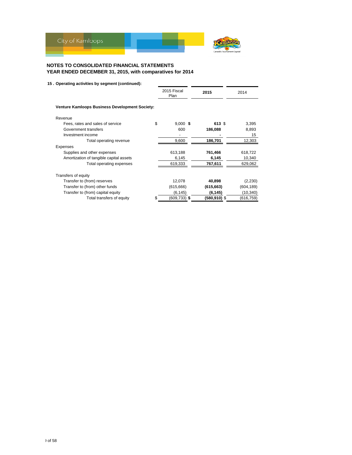

|                                                       | 2015 Fiscal<br>Plan | 2015         | 2014      |
|-------------------------------------------------------|---------------------|--------------|-----------|
| <b>Venture Kamloops Business Development Society:</b> |                     |              |           |
| Revenue                                               |                     |              |           |
| Fees, rates and sales of service                      | \$<br>$9,000$ \$    | 613 \$       | 3,395     |
| Government transfers                                  | 600                 | 186,088      | 8,893     |
| Investment income                                     |                     |              | 15        |
| Total operating revenue                               | 9,600               | 186,701      | 12,303    |
| Expenses                                              |                     |              |           |
| Supplies and other expenses                           | 613,188             | 761,466      | 618,722   |
| Amortization of tangible capital assets               | 6,145               | 6,145        | 10,340    |
| Total operating expenses                              | 619,333             | 767,611      | 629,062   |
| Transfers of equity                                   |                     |              |           |
| Transfer to (from) reserves                           | 12,078              | 40,898       | (2,230)   |
| Transfer to (from) other funds                        | (615,666)           | (615, 663)   | (604,189) |
| Transfer to (from) capital equity                     | (6, 145)            | (6, 145)     | (10, 340) |
| Total transfers of equity                             | (609,733) \$        | (580,910) \$ | (616,759) |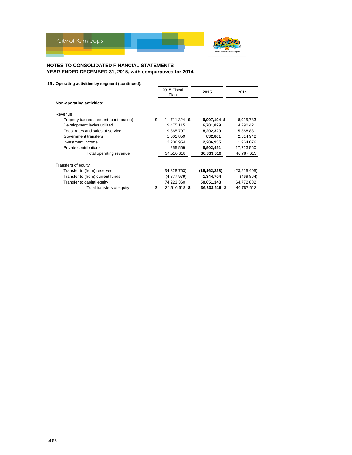

**15 . Operating activities by segment (continued):**

|                                         | 2015 Fiscal<br>Plan | 2015           | 2014           |
|-----------------------------------------|---------------------|----------------|----------------|
| Non-operating activities:               |                     |                |                |
| Revenue                                 |                     |                |                |
| Property tax requirement (contribution) | \$<br>11,711,324 \$ | 9,907,194 \$   | 8,925,783      |
| Development levies utilized             | 9,475,115           | 6,781,829      | 4,290,421      |
| Fees, rates and sales of service        | 9,865,797           | 8,202,329      | 5,368,831      |
| Government transfers                    | 1,001,859           | 832,861        | 2,514,942      |
| Investment income                       | 2,206,954           | 2,206,955      | 1,964,076      |
| Private contributions                   | 255,569             | 8,902,451      | 17,723,560     |
| Total operating revenue                 | 34,516,618          | 36,833,619     | 40,787,613     |
| Transfers of equity                     |                     |                |                |
| Transfer to (from) reserves             | (34, 828, 763)      | (15, 162, 228) | (23, 515, 405) |
| Transfer to (from) current funds        | (4,877,979)         | 1,344,704      | (469, 864)     |
| Transfer to capital equity              | 74,223,360          | 50,651,143     | 64,772,882     |
| Total transfers of equity               | 34,516,618 \$       | 36,833,619 \$  | 40,787,613     |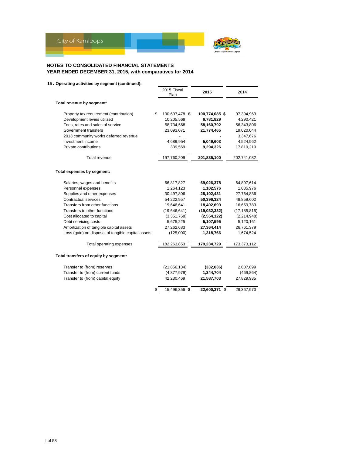

| 15. Operating activities by segment (continued):   |                      |                |                |
|----------------------------------------------------|----------------------|----------------|----------------|
|                                                    | 2015 Fiscal<br>Plan  | 2015           | 2014           |
| Total revenue by segment:                          |                      |                |                |
| Property tax requirement (contribution)            | \$<br>100,697,478 \$ | 100,774,085 \$ | 97,394,963     |
| Development levies utilized                        | 10,205,569           | 6,781,829      | 4,290,421      |
| Fees, rates and sales of service                   | 58,734,568           | 58,160,792     | 56,343,806     |
| Government transfers                               | 23,093,071           | 21,774,465     | 19,020,044     |
| 2013 community works deferred revenue              |                      |                | 3,347,676      |
| Investment income                                  | 4,689,954            | 5,049,603      | 4,524,962      |
| Private contributions                              | 339,569              | 9,294,326      | 17,819,210     |
| Total revenue                                      | 197,760,209          | 201,835,100    | 202,741,082    |
|                                                    |                      |                |                |
| Total expenses by segment:                         |                      |                |                |
| Salaries, wages and benefits                       | 66,817,827           | 69,026,378     | 64,897,614     |
| Personnel expenses                                 | 1,264,123            | 1,102,576      | 1,035,976      |
| Supplies and other expenses                        | 30,497,806           | 28,102,431     | 27,764,836     |
| Contractual services                               | 54,222,957           | 50,396,324     | 48,859,602     |
| Transfers from other functions                     | 19,646,641           | 18,402,699     | 16,659,783     |
| Transfers to other functions                       | (19,646,641)         | (19,032,332)   | (17, 185, 815) |
| Cost allocated to capital                          | (3,351,768)          | (2,554,122)    | (2,214,948)    |
| Debt servicing costs                               | 5,675,225            | 5,107,595      | 5,120,161      |
| Amortization of tangible capital assets            | 27,262,683           | 27,364,414     | 26,761,379     |
| Loss (gain) on disposal of tangible capital assets | (125,000)            | 1,318,766      | 1,674,524      |
| Total operating expenses                           | 182,263,853          | 179,234,729    | 173,373,112    |
| Total transfers of equity by segment:              |                      |                |                |
| Transfer to (from) reserves                        | (21, 856, 134)       | (332,036)      | 2,007,899      |
| Transfer to (from) current funds                   | (4,877,979)          | 1,344,704      | (469, 864)     |
| Transfer to (from) capital equity                  | 42,230,469           | 21,587,703     | 27,829,935     |
|                                                    | \$<br>15,496,356 \$  | 22,600,371 \$  | 29,367,970     |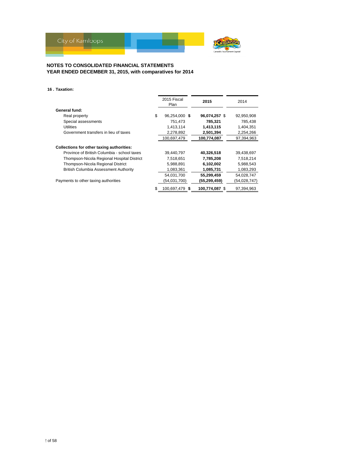

#### **16 . Taxation:**

|                                              | 2015 Fiscal<br>Plan |   | 2015           | 2014         |
|----------------------------------------------|---------------------|---|----------------|--------------|
| General fund:                                |                     |   |                |              |
| Real property                                | \$<br>96.254.000 \$ |   | 96,074,257 \$  | 92,950,908   |
| Special assessments                          | 751.473             |   | 785,321        | 785,438      |
| Utilities                                    | 1,413,114           |   | 1,413,115      | 1,404,351    |
| Government transfers in lieu of taxes        | 2,278,892           |   | 2,501,394      | 2,254,266    |
|                                              | 100.697.479         |   | 100.774.087    | 97.394.963   |
| Collections for other taxing authorities:    |                     |   |                |              |
| Province of British Columbia - school taxes  | 39,440,797          |   | 40,326,518     | 39,438,697   |
| Thompson-Nicola Regional Hospital District   | 7,518,651           |   | 7,785,208      | 7,518,214    |
| Thompson-Nicola Regional District            | 5,988,891           |   | 6,102,002      | 5,988,543    |
| <b>British Columbia Assessment Authority</b> | 1,083,361           |   | 1,085,731      | 1,083,293    |
|                                              | 54,031,700          |   | 55,299,459     | 54,028,747   |
| Payments to other taxing authorities         | (54,031,700)        |   | (55,299,459)   | (54,028,747) |
|                                              | 100.697.479         | S | 100.774.087 \$ | 97.394.963   |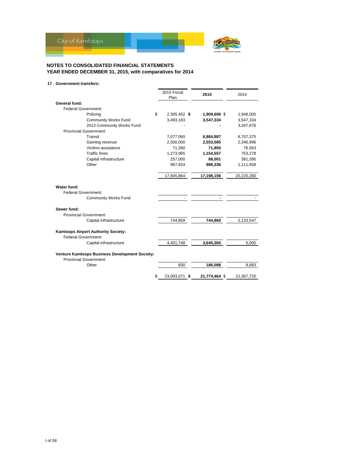

#### **17 . Government transfers:**

|                                                                                 | 2015 Fiscal<br>Plan |   | 2015          | 2014       |
|---------------------------------------------------------------------------------|---------------------|---|---------------|------------|
| General fund:                                                                   |                     |   |               |            |
| Federal Government:                                                             |                     |   |               |            |
| \$<br>Policing                                                                  | 2,305,452 \$        |   | 1,909,606 \$  | 1,948,005  |
| <b>Community Works Fund</b>                                                     | 3,493,183           |   | 3,547,334     | 3,547,334  |
| 2013 Community Works Fund                                                       |                     |   |               | 3,347,676  |
| <b>Provincial Government:</b>                                                   |                     |   |               |            |
| Transit                                                                         | 7,077,060           |   | 6,884,887     | 6,707,375  |
| Gaming revenue                                                                  | 2,500,000           |   | 2,553,585     | 2,346,996  |
| Victims assistance                                                              | 71,280              |   | 71,850        | 76,563     |
| <b>Traffic fines</b>                                                            | 1,273,965           |   | 1,154,557     | 753,278    |
| Capital infrastructure                                                          | 257,000             |   | 88,001        | 381,395    |
| Other                                                                           | 967,924             |   | 988,336       | 1,111,658  |
|                                                                                 | 17,945,864          |   | 17,198,156    | 20,220,280 |
| Water fund:                                                                     |                     |   |               |            |
| Federal Government:                                                             |                     |   |               |            |
| <b>Community Works Fund</b>                                                     |                     |   |               |            |
| Sewer fund:                                                                     |                     |   |               |            |
| <b>Provincial Government:</b>                                                   |                     |   |               |            |
| Capital infrastructure                                                          | 744,859             |   | 744,860       | 2,133,547  |
| Kamloops Airport Authority Society:<br>Federal Government:                      |                     |   |               |            |
| Capital infrastructure                                                          | 4,401,748           |   | 3,645,360     | 5,000      |
| Venture Kamloops Business Development Society:<br><b>Provincial Government:</b> |                     |   |               |            |
| Other                                                                           | 600                 |   | 186,088       | 8,893      |
| \$                                                                              | 23,093,071          | S | 21,774,464 \$ | 22,367,720 |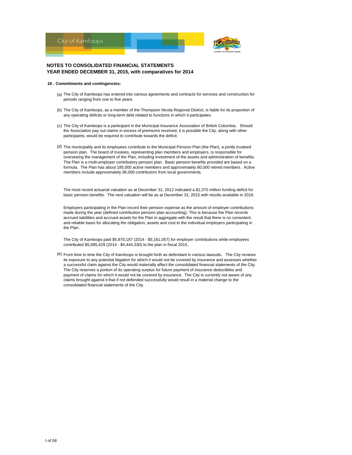

#### **18 . Commitments and contingencies:**

- (a) The City of Kamloops has entered into various agreements and contracts for services and construction for periods ranging from one to five years.
- (b) The City of Kamloops, as a member of the Thompson Nicola Regional District, is liable for its proportion of any operating deficits or long-term debt related to functions in which it participates.
- (c) The City of Kamloops is a participant in the Municipal Insurance Association of British Columbia. Should the Association pay out claims in excess of premiums received, it is possible the City, along with other participants, would be required to contribute towards the deficit.
- (d) The municipality and its employees contribute to the Municipal Pension Plan (the Plan), a jointly trusteed pension plan. The board of trustees, representing plan members and employers, is responsible for overseeing the management of the Plan, including investment of the assets and administration of benefits. The Plan is a multi-employer contributory pension plan. Basic pension benefits provided are based on a formula. The Plan has about 185,000 active members and approximately 80,000 retired members. Active members include approximately 36,000 contributors from local governments.

The most recent actuarial valuation as at December 31, 2012 indicated a \$1,370 million funding deficit for basic pension benefits. The next valuation will be as at December 31, 2015 with results available in 2016.

Employers participating in the Plan record their pension expense as the amount of employer contributions made during the year (defined contribution pension plan accounting). This is because the Plan records accrued liabilities and accrued assets for the Plan in aggregate with the result that there is no consistent and reliable basis for allocating the obligation, assets and cost to the individual employers participating in the Plan.

The City of Kamloops paid \$5,870,187 (2014 - \$5,161,057) for employer contributions while employees contributed \$5,085,429 (2014 - \$4,444,330) to the plan in fiscal 2015.

(e) From time to time the City of Kamloops is brought forth as defendant in various lawsuits. The City reviews its exposure to any potential litigation for which it would not be covered by insurance and assesses whether a successful claim against the City would materially affect the consolidated financial statements of the City. The City reserves a portion of its operating surplus for future payment of insurance deductibles and payment of claims for which it would not be covered by insurance. The City is currently not aware of any claims brought against it that if not defended successfully would result in a material change to the consolidated financial statements of the City.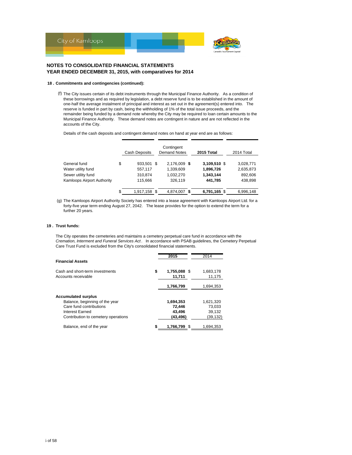

#### **18 . Commitments and contingencies (continued):**

(f) The City issues certain of its debt instruments through the Municipal Finance Authority. As a condition of these borrowings and as required by legislation, a debt reserve fund is to be established in the amount of one-half the average instalment of principal and interest as set out in the agreement(s) entered into. The reserve is funded in part by cash, being the withholding of 1% of the total issue proceeds, and the remainder being funded by a demand note whereby the City may be required to loan certain amounts to the Municipal Finance Authority. These demand notes are contingent in nature and are not reflected in the accounts of the City.

Details of the cash deposits and contingent demand notes on hand at year end are as follows:

|                            | Cash Deposits   |      | Contingent<br><b>Demand Notes</b> | 2015 Total   | 2014 Total |
|----------------------------|-----------------|------|-----------------------------------|--------------|------------|
| General fund               | \$<br>933.501   | - \$ | 2,176,009 \$                      | 3,109,510 \$ | 3,028,771  |
| Water utility fund         | 557,117         |      | 1,339,609                         | 1,896,726    | 2,635,873  |
| Sewer utility fund         | 310,874         |      | 1,032,270                         | 1,343,144    | 892,606    |
| Kamloops Airport Authority | 115.666         |      | 326.119                           | 441.785      | 438,898    |
|                            | \$<br>1,917,158 | - \$ | 4,874,007 \$                      | 6,791,165 \$ | 6,996,148  |

(g) The Kamloops Airport Authority Society has entered into a lease agreement with Kamloops Airport Ltd. for a forty-five year term ending August 27, 2042. The lease provides for the option to extend the term for a further 20 years.

#### **19 . Trust funds:**

The City operates the cemeteries and maintains a cemetery perpetual care fund in accordance with the *Cremation, Interment and Funeral Services Act* . In accordance with PSAB guidelines, the Cemetery Perpetual Care Trust Fund is excluded from the City's consolidated financial statements.

|                                                              | 2015                   | 2014                |
|--------------------------------------------------------------|------------------------|---------------------|
| <b>Financial Assets</b>                                      |                        |                     |
| \$<br>Cash and short-term investments<br>Accounts receivable | 1,755,088 \$<br>11,711 | 1,683,178<br>11,175 |
|                                                              | 1,766,799              | 1,694,353           |
| <b>Accumulated surplus</b>                                   |                        |                     |
| Balance, beginning of the year                               | 1.694.353              | 1.621.320           |
| Care fund contributions                                      | 72,446                 | 73,033              |
| Interest Earned                                              | 43.496                 | 39,132              |
| Contribution to cemetery operations                          | (43,496)               | (39,132)            |
| Balance, end of the year                                     | 1,766,799 \$           | 1.694.353           |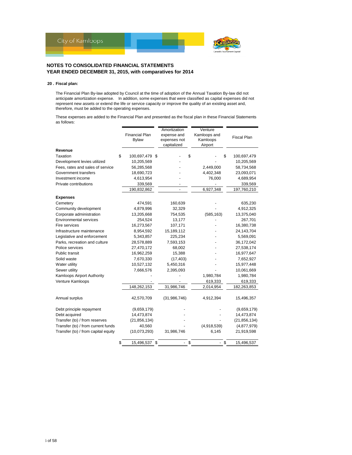

#### **20 . Fiscal plan:**

The Financial Plan By-law adopted by Council at the time of adoption of the Annual Taxation By-law did not anticipate amortization expense. In addition, some expenses that were classified as capital expenses did not represent new assets or extend the life or service capacity or improve the quality of an existing asset and, therefore, must be added to the operating expenses.

These expenses are added to the Financial Plan and presented as the fiscal plan in these Financial Statements as follows:

|                                     | <b>Financial Plan</b><br><b>Bylaw</b> | Amortization<br>expense and<br>expenses not<br>capitalized | Venture<br>Kamloops and<br>Kamloops<br>Airport | <b>Fiscal Plan</b> |
|-------------------------------------|---------------------------------------|------------------------------------------------------------|------------------------------------------------|--------------------|
| Revenue                             |                                       |                                                            |                                                |                    |
| Taxation                            | \$<br>100,697,479 \$                  |                                                            | \$                                             | \$<br>100,697,479  |
| Development levies utilized         | 10,205,569                            |                                                            |                                                | 10,205,569         |
| Fees, rates and sales of service    | 56,285,568                            |                                                            | 2,449,000                                      | 58,734,568         |
| Government transfers                | 18,690,723                            |                                                            | 4,402,348                                      | 23,093,071         |
| Investment income                   | 4,613,954                             |                                                            | 76,000                                         | 4,689,954          |
| Private contributions               | 339,569                               |                                                            |                                                | 339,569            |
|                                     | 190,832,862                           | $\overline{\phantom{a}}$                                   | 6,927,348                                      | 197,760,210        |
| <b>Expenses</b>                     |                                       |                                                            |                                                |                    |
| Cemetery                            | 474,591                               | 160,639                                                    |                                                | 635,230            |
| Community development               | 4,879,996                             | 32,329                                                     |                                                | 4,912,325          |
| Corporate administration            | 13,205,668                            | 754,535                                                    | (585, 163)                                     | 13,375,040         |
| <b>Environmental services</b>       | 254,524                               | 13,177                                                     |                                                | 267,701            |
| Fire services                       | 16,273,567                            | 107,171                                                    |                                                | 16,380,738         |
| Infrastructure maintenance          | 8,954,592                             | 15,189,112                                                 |                                                | 24,143,704         |
| Legislative and enforcement         | 5,343,857                             | 225,234                                                    |                                                | 5,569,091          |
| Parks, recreation and culture       | 28,578,889                            | 7,593,153                                                  |                                                | 36,172,042         |
| Police services                     | 27,470,172                            | 68,002                                                     |                                                | 27,538,174         |
| <b>Public transit</b>               | 16,962,259                            | 15,388                                                     |                                                | 16,977,647         |
| Solid waste                         | 7,670,330                             | (17, 403)                                                  |                                                | 7,652,927          |
| Water utility                       | 10,527,132                            | 5,450,316                                                  |                                                | 15,977,448         |
| Sewer utility                       | 7,666,576                             | 2,395,093                                                  |                                                | 10,061,669         |
| Kamloops Airport Authority          |                                       |                                                            | 1,980,784                                      | 1,980,784          |
| Venture Kamloops                    |                                       |                                                            | 619,333                                        | 619,333            |
|                                     | 148,262,153                           | 31,986,746                                                 | 2,014,954                                      | 182,263,853        |
| Annual surplus                      | 42,570,709                            | (31, 986, 746)                                             | 4,912,394                                      | 15,496,357         |
| Debt principle repayment            | (9,659,179)                           |                                                            |                                                | (9,659,179)        |
| Debt acquired                       | 14,473,874                            |                                                            |                                                | 14,473,874         |
| Transfer (to) / from reserves       | (21, 856, 134)                        |                                                            |                                                | (21, 856, 134)     |
| Transfer (to) / from current funds  | 40,560                                |                                                            | (4,918,539)                                    | (4,877,979)        |
| Transfer (to) / from capital equity | (10,073,293)                          | 31,986,746                                                 | 6,145                                          | 21,919,598         |
|                                     | \$<br>15.496.537 \$                   |                                                            | \$<br>- \$                                     | 15,496,537         |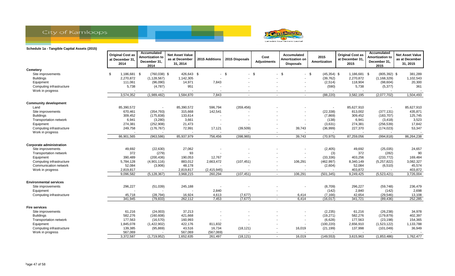



|                                 | <b>Original Cost as</b><br>at December 31,<br>2014 | Accumulated<br><b>Amortization to</b><br>December 31,<br>2014 | <b>Net Asset Value</b><br>as at December<br>31, 2014 | 2015 Additions           | 2015 Disposals           | Cost<br><b>Adjustments</b> | <b>Accumulated</b><br>Amortization on<br><b>Disposals</b> | 2015<br>Amortization  | <b>Original Cost as</b><br>at December 31,<br>2015 | Accumulated<br><b>Amortization to</b><br>December 31,<br>2015 | <b>Net Asset Value</b><br>as at December<br>31, 2015 |
|---------------------------------|----------------------------------------------------|---------------------------------------------------------------|------------------------------------------------------|--------------------------|--------------------------|----------------------------|-----------------------------------------------------------|-----------------------|----------------------------------------------------|---------------------------------------------------------------|------------------------------------------------------|
| <b>Cemetery</b>                 |                                                    |                                                               |                                                      |                          |                          |                            |                                                           |                       |                                                    |                                                               |                                                      |
| Site improvements               | 1,186,681 \$<br>\$                                 | $(760,038)$ \$                                                | 426,643 \$                                           | $\overline{\phantom{a}}$ | - \$                     | $-$ \$                     | - \$                                                      | - \$<br>$(45,354)$ \$ | 1,186,681 \$                                       | $(805, 392)$ \$                                               | 381,289                                              |
| <b>Buildings</b>                | 2,270,872                                          | (1, 128, 567)                                                 | 1,142,305                                            |                          |                          |                            |                                                           | (39, 762)             | 2,270,872                                          | (1, 168, 329)                                                 | 1,102,543                                            |
| Equipment                       | 111,061                                            | (96,090)                                                      | 14,971                                               | 7,843                    |                          |                            |                                                           | (2,514)               | 118,904                                            | (98, 604)                                                     | 20,300                                               |
| Computing infrastructure        | 5,738                                              | (4,787)                                                       | 951                                                  |                          |                          |                            |                                                           | (590)                 | 5,738                                              | (5,377)                                                       | 361                                                  |
| Work in progress                |                                                    |                                                               |                                                      |                          |                          | $\overline{\phantom{a}}$   | $\overline{\phantom{a}}$                                  |                       |                                                    |                                                               |                                                      |
|                                 | 3,574,352                                          | (1,989,482)                                                   | 1,584,870                                            | 7,843                    | $\overline{\phantom{a}}$ | $\overline{\phantom{a}}$   | $\overline{\phantom{a}}$                                  | (88, 220)             | 3,582,195                                          | (2,077,702)                                                   | 1,504,493                                            |
| <b>Community development</b>    |                                                    |                                                               |                                                      |                          |                          |                            |                                                           |                       |                                                    |                                                               |                                                      |
| Land                            | 85,390,572                                         |                                                               | 85,390,572                                           | 596,794                  | (359, 456)               |                            |                                                           |                       | 85,627,910                                         |                                                               | 85,627,910                                           |
| Site improvements               | 670,461                                            | (354, 793)                                                    | 315,668                                              | 142,541                  |                          |                            |                                                           | (22, 338)             | 813,002                                            | (377, 131)                                                    | 435,871                                              |
| <b>Buildings</b>                | 309,452                                            | (175, 838)                                                    | 133,614                                              |                          |                          |                            |                                                           | (7,869)               | 309,452                                            | (183, 707)                                                    | 125,745                                              |
| Transportation network          | 6,941                                              | (3,280)                                                       | 3,661                                                |                          |                          |                            |                                                           | (138)                 | 6,941                                              | (3, 418)                                                      | 3,523                                                |
| Equipment                       | 274,381                                            | (252,908)                                                     | 21,473                                               |                          |                          |                            |                                                           | (3,631)               | 274,381                                            | (256, 539)                                                    | 17,842                                               |
| Computing infrastructure        | 249,758                                            | (176, 767)                                                    | 72,991                                               | 17,121                   | (39, 509)                |                            | 39,743                                                    | (36,999)              | 227,370                                            | (174, 023)                                                    | 53,347                                               |
| Work in progress                |                                                    |                                                               |                                                      |                          |                          | $\sim$                     |                                                           |                       |                                                    |                                                               |                                                      |
|                                 | 86,901,565                                         | (963, 586)                                                    | 85,937,979                                           | 756,456                  | (398, 965)               | $\overline{\phantom{a}}$   | 39,743                                                    | (70, 975)             | 87,259,056                                         | (994, 818)                                                    | 86,264,238                                           |
| <b>Corporate administration</b> |                                                    |                                                               |                                                      |                          |                          |                            |                                                           |                       |                                                    |                                                               |                                                      |
| Site improvements               | 49,692                                             | (22, 630)                                                     | 27,062                                               |                          |                          |                            |                                                           | (2,405)               | 49,692                                             | (25,035)                                                      | 24,657                                               |
| Transportation network          | 372                                                | (279)                                                         | 93                                                   |                          |                          |                            |                                                           | (3)                   | 372                                                | (282)                                                         | 90                                                   |
| Equipment                       | 390,489                                            | (200, 436)                                                    | 190,053                                              | 12,767                   |                          |                            |                                                           | (33, 336)             | 403,256                                            | (233, 772)                                                    | 169,484                                              |
| Computing infrastructure        | 5,784,128                                          | (4,901,116)                                                   | 883,012                                              | 2,663,472                | (107, 451)               |                            | 106,291                                                   | (462, 997)            | 8,340,149                                          | (5,257,822)                                                   | 3,082,327                                            |
| Communication network           | 52,084                                             | (3,906)                                                       | 48,178                                               |                          |                          |                            |                                                           | (2,604)               | 52,084                                             | (6, 510)                                                      | 45,574                                               |
| Work in progress                | 2,819,817                                          |                                                               | 2,819,817                                            | (2,415,945)              |                          | $\overline{\phantom{a}}$   |                                                           |                       | 403,872                                            |                                                               | 403,872                                              |
|                                 | 9,096,582                                          | (5, 128, 367)                                                 | 3,968,215                                            | 260,294                  | (107, 451)               | $\sim$                     | 106,291                                                   | (501, 345)            | 9,249,425                                          | (5,523,421)                                                   | 3,726,004                                            |
| <b>Environmental services</b>   |                                                    |                                                               |                                                      |                          |                          |                            |                                                           |                       |                                                    |                                                               |                                                      |
| Site improvements               | 296,227                                            | (51,039)                                                      | 245,188                                              |                          |                          |                            |                                                           | (8,709)               | 296,227                                            | (59, 748)                                                     | 236,479                                              |
| Equipment                       |                                                    |                                                               |                                                      | 2,840                    |                          |                            |                                                           | (142)                 | 2,840                                              | (142)                                                         | 2,698                                                |
| Computing infrastructure        | 45,718                                             | (28, 794)                                                     | 16,924                                               | 4,613                    | (7,677)                  | $\sim$                     | 6,414                                                     | (7, 166)              | 42,654                                             | (29, 546)                                                     | 13,108                                               |
|                                 | 341,945                                            | (79, 833)                                                     | 262,112                                              | 7,453                    | (7,677)                  | $\blacksquare$             | 6,414                                                     | (16, 017)             | 341,721                                            | (89, 436)                                                     | 252,285                                              |
| <b>Fire services</b>            |                                                    |                                                               |                                                      |                          |                          |                            |                                                           |                       |                                                    |                                                               |                                                      |
| Site improvements               | 61,216                                             | (24,003)                                                      | 37,213                                               |                          |                          |                            |                                                           | (2, 235)              | 61,216                                             | (26, 238)                                                     | 34,978                                               |
| <b>Buildings</b>                | 582,276                                            | (160, 608)                                                    | 421,668                                              |                          |                          |                            |                                                           | (19,271)              | 582,276                                            | (179, 879)                                                    | 402,397                                              |
| Transportation network          | 177,563                                            | (16, 570)                                                     | 160,993                                              |                          |                          |                            | $\overline{\phantom{a}}$                                  | (6,628)               | 177,563                                            | (23, 198)                                                     | 154,365                                              |
| Equipment                       | 1,845,078                                          | (1,422,902)                                                   | 422,176                                              | 811,832                  |                          |                            |                                                           | (100, 220)            | 2,656,910                                          | (1,523,122)                                                   | 1,133,788                                            |
| Computing infrastructure        | 139,385                                            | (95, 869)                                                     | 43,516                                               | 16,734                   | (18, 121)                |                            | 16,019                                                    | (21, 199)             | 137,998                                            | (101, 049)                                                    | 36,949                                               |
| Work in progress                | 567,069                                            |                                                               | 567,069                                              | (567,069)                |                          | $\sim$                     |                                                           |                       |                                                    |                                                               |                                                      |
|                                 | 3,372,587                                          | (1,719,952)                                                   | 1,652,635                                            | 261,497                  | (18, 121)                |                            | 16,019                                                    | (149, 553)            | 3,615,963                                          | (1,853,486)                                                   | 1,762,477                                            |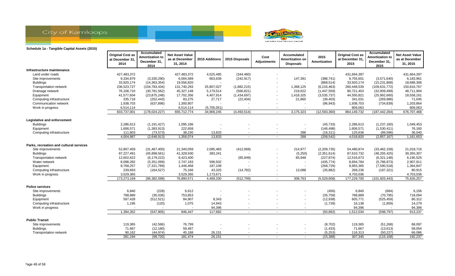



|                                         | <b>Original Cost as</b><br>at December 31,<br>2014 | Accumulated<br>Amortization to<br>December 31,<br>2014 | <b>Net Asset Value</b><br>as at December<br>31, 2014 | 2015 Additions | 2015 Disposals | Cost<br><b>Adjustments</b> | <b>Accumulated</b><br>Amortization on<br><b>Disposals</b> | 2015<br>Amortization | <b>Original Cost as</b><br>at December 31,<br>2015 | Accumulated<br><b>Amortization to</b><br>December 31,<br>2015 | <b>Net Asset Value</b><br>as at December<br>31, 2015 |
|-----------------------------------------|----------------------------------------------------|--------------------------------------------------------|------------------------------------------------------|----------------|----------------|----------------------------|-----------------------------------------------------------|----------------------|----------------------------------------------------|---------------------------------------------------------------|------------------------------------------------------|
| Infrastructure maintenance              |                                                    |                                                        |                                                      |                |                |                            |                                                           |                      |                                                    |                                                               |                                                      |
| Land under roads                        | 427,483,372                                        |                                                        | 427,483,372                                          | 4,525,485      | (344, 460)     |                            |                                                           |                      | 431,664,397                                        |                                                               | 431,664,397                                          |
| Site improvements                       | 9,334,879                                          | (3,330,290)                                            | 6,004,589                                            | 663,639        | (242, 917)     |                            | 147,391                                                   | (388, 741)           | 9,755,601                                          | (3,571,640)                                                   | 6,183,961                                            |
| <b>Buildings</b>                        | 33,920,174                                         | (14, 363, 354)                                         | 19,556,820                                           |                |                |                            |                                                           | (868, 514)           | 33,920,174                                         | (15, 231, 868)                                                | 18,688,306                                           |
| Transportation network                  | 236,523,727                                        | (104, 783, 434)                                        | 131,740,293                                          | 25,807,027     | (1,882,215)    |                            | 1,368,125                                                 | (6,216,463)          | 260,448,539                                        | (109, 631, 772)                                               | 150,816,767                                          |
| Drainage network                        | 76,108,710                                         | (30, 781, 562)                                         | 45,327,148                                           | 5,179,514      | (566, 821)     |                            | 219,622                                                   | (1,447,559)          | 80,721,403                                         | (32,009,499)                                                  | 48,711,904                                           |
| Equipment                               | 41,577,604                                         | (23, 875, 248)                                         | 17,702,356                                           | 4,407,914      | (1,434,697)    |                            | 1,418,325                                                 | (3,535,737)          | 44,550,821                                         | (25,992,660)                                                  | 18,558,161                                           |
| Computing infrastructure                | 335,718                                            | (252, 443)                                             | 83,275                                               | 27,717         | (22, 404)      |                            | 21,860                                                    | (39, 403)            | 341,031                                            | (269, 986)                                                    | 71,045                                               |
| Communication network                   | 1,938,703                                          | (637, 896)                                             | 1,300,807                                            |                |                |                            |                                                           | (96, 943)            | 1,938,703                                          | (734, 839)                                                    | 1,203,864                                            |
| Work in progress                        | 6,514,114                                          |                                                        | 6,514,114                                            | (5,705,051)    |                |                            |                                                           |                      | 809,063                                            |                                                               | 809,063                                              |
|                                         | 833,737,001                                        | (178, 024, 227)                                        | 655,712,774                                          | 34,906,245     | (4,493,514)    | $\overline{a}$             | 3,175,323                                                 | (12, 593, 360)       | 864,149,732                                        | (187, 442, 264)                                               | 676,707,468                                          |
| Legislative and enforcement             |                                                    |                                                        |                                                      |                |                |                            |                                                           |                      |                                                    |                                                               |                                                      |
| <b>Buildings</b>                        | 2,286,613                                          | (1, 191, 427)                                          | 1,095,186                                            |                |                |                            |                                                           | (45, 733)            | 2,286,613                                          | (1, 237, 160)                                                 | 1,049,453                                            |
| Equipment                               | 1,606,571                                          | (1,383,913)                                            | 222,658                                              |                |                |                            | $\overline{a}$                                            | (146, 498)           | 1,606,571                                          | (1,530,411)                                                   | 76,160                                               |
| Computing infrastructure                | 111,803                                            | (73, 573)                                              | 38,230                                               | 13,833         |                |                            | 288                                                       | (16, 311)            | 125,636                                            | (89, 596)                                                     | 36,040                                               |
|                                         | 4,004,987                                          | (2,648,913)                                            | 1,356,074                                            | 13,833         | $\sim$         | $\overline{a}$             | 288                                                       | (208, 542)           | 4,018,820                                          | (2,857,167)                                                   | 1,161,653                                            |
| Parks, recreation and cultural services |                                                    |                                                        |                                                      |                |                |                            |                                                           |                      |                                                    |                                                               |                                                      |
| Site improvements                       | 52,807,459                                         | (31, 467, 400)                                         | 21,340,059                                           | 2,085,483      | (412,068)      |                            | 214,977                                                   | (2,209,735)          | 54,480,874                                         | (33, 462, 158)                                                | 21,018,716                                           |
| <b>Buildings</b>                        | 87,227,491                                         | (45,898,561)                                           | 41,328,930                                           | 383,241        |                |                            | (5,250)                                                   | (2,351,614)          | 87,610,732                                         | (48, 255, 425)                                                | 39,355,307                                           |
| Transportation network                  | 12,602,622                                         | (6, 179, 222)                                          | 6,423,400                                            |                | (85, 949)      |                            | 85,948                                                    | (227, 874)           | 12,516,673                                         | (6,321,148)                                                   | 6,195,525                                            |
| Water network                           | 8,098,282                                          | (5,351,099)                                            | 2,747,183                                            | 596,502        |                |                            |                                                           | (435, 774)           | 8,694,784                                          | (5,786,873)                                                   | 2,907,911                                            |
| Equipment                               | 8,768,257                                          | (7, 321, 789)                                          | 1,446,468                                            | 187,108        |                |                            |                                                           | (268, 729)           | 8,955,365                                          | (7,590,518)                                                   | 1,364,847                                            |
| Computing infrastructure                | 239,693                                            | (164, 527)                                             | 75,166                                               | 43,325         | (14, 782)      |                            | 13,088                                                    | (35, 882)            | 268,236                                            | (187, 321)                                                    | 80,915                                               |
| Work in progress                        | 3,529,365                                          |                                                        | 3,529,365                                            | 1,173,671      |                | $\overline{\phantom{a}}$   |                                                           |                      | 4,703,036                                          |                                                               | 4,703,036                                            |
|                                         | 173,273,169                                        | (96, 382, 598)                                         | 76,890,571                                           | 4,469,330      | (512, 799)     | $\sim$                     | 308,763                                                   | (5,529,608)          | 177,229,700                                        | (101, 603, 443)                                               | 75,626,257                                           |
| <b>Police services</b>                  |                                                    |                                                        |                                                      |                |                |                            |                                                           |                      |                                                    |                                                               |                                                      |
| Site improvements                       | 6,840                                              | (228)                                                  | 6,612                                                |                |                |                            |                                                           | (456)                | 6,840                                              | (684)                                                         | 6,156                                                |
| <b>Buildings</b>                        | 788,889                                            | (35,036)                                               | 753,853                                              |                |                |                            |                                                           | (35, 759)            | 788,889                                            | (70, 795)                                                     | 718,094                                              |
| Equipment                               | 597,428                                            | (512, 521)                                             | 84,907                                               | 8,343          |                |                            |                                                           | (12, 938)            | 605,771                                            | (525, 459)                                                    | 80,312                                               |
| Computing infrastructure                | 1,195                                              | (120)                                                  | 1,075                                                | 14,943         |                |                            |                                                           | (1,739)              | 16,138                                             | (1, 859)                                                      | 14,279                                               |
| Work in progress                        |                                                    |                                                        |                                                      | 94,396         |                |                            |                                                           |                      | 94,396                                             |                                                               | 94,396                                               |
|                                         | 1,394,352                                          | (547, 905)                                             | 846,447                                              | 117,682        | $\sim$         | $\overline{\phantom{a}}$   | $\sim$                                                    | (50, 892)            | 1,512,034                                          | (598, 797)                                                    | 913,237                                              |
| <b>Public Transit</b>                   |                                                    |                                                        |                                                      |                |                |                            |                                                           |                      |                                                    |                                                               |                                                      |
| Site improvements                       | 119,365                                            | (42, 566)                                              | 76,799                                               |                |                |                            |                                                           | (8,702)              | 119,365                                            | (51, 268)                                                     | 68,097                                               |
| <b>Buildings</b>                        | 71,667                                             | (12, 180)                                              | 59,487                                               |                |                |                            |                                                           | (1, 433)             | 71,667                                             | (13,613)                                                      | 58,054                                               |
| Transportation network                  | 90,162                                             | (44, 974)                                              | 45,188                                               | 26,151         |                |                            |                                                           | (5,253)              | 116,313                                            | (50, 227)                                                     | 66,086                                               |
|                                         | 281,194                                            | (99, 720)                                              | 181,474                                              | 26,151         |                |                            |                                                           | (15, 388)            | 307,345                                            | (115, 108)                                                    | 192,237                                              |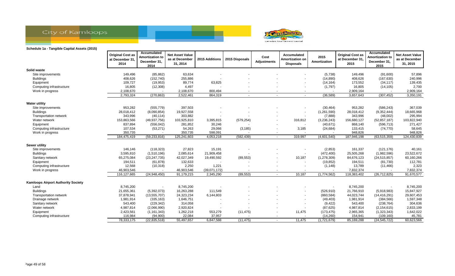



|                                           | <b>Original Cost as</b><br>at December 31.<br>2014 | Accumulated<br><b>Amortization to</b><br>December 31,<br>2014 | <b>Net Asset Value</b><br>as at December<br>31, 2014 | 2015 Additions | 2015 Disposals | Cost<br><b>Adjustments</b> | <b>Accumulated</b><br><b>Amortization on</b><br><b>Disposals</b> | 2015<br>Amortization     | <b>Original Cost as</b><br>at December 31,<br>2015 | Accumulated<br><b>Amortization to</b><br>December 31,<br>2015 | <b>Net Asset Value</b><br>as at December<br>31, 2015 |
|-------------------------------------------|----------------------------------------------------|---------------------------------------------------------------|------------------------------------------------------|----------------|----------------|----------------------------|------------------------------------------------------------------|--------------------------|----------------------------------------------------|---------------------------------------------------------------|------------------------------------------------------|
| Solid waste                               |                                                    |                                                               |                                                      |                |                |                            |                                                                  |                          |                                                    |                                                               |                                                      |
| Site improvements                         | 149,496                                            | (85, 862)                                                     | 63,634                                               |                |                |                            |                                                                  | (5,738)                  | 149,496                                            | (91,600)                                                      | 57,896                                               |
| <b>Buildings</b>                          | 408,626                                            | (152, 740)                                                    | 255,886                                              |                |                |                            |                                                                  | (14, 890)                | 408,626                                            | (167, 630)                                                    | 240,996                                              |
| Equipment                                 | 109,727                                            | (19, 953)                                                     | 89,774                                               | 63,825         |                |                            | $\blacksquare$                                                   | (14, 164)                | 173,552                                            | (34, 117)                                                     | 139,435                                              |
| Computing infrastructure                  | 16,805                                             | (12, 308)                                                     | 4,497                                                |                |                |                            | $\blacksquare$                                                   | (1,797)                  | 16,805                                             | (14, 105)                                                     | 2,700                                                |
| Work in progress                          | 2,108,670                                          |                                                               | 2,108,670                                            | 800,494        |                | $\overline{\phantom{a}}$   | $\overline{\phantom{a}}$                                         |                          | 2,909,164                                          |                                                               | 2,909,164                                            |
|                                           | 2,793,324                                          | (270, 863)                                                    | 2,522,461                                            | 864,319        | $\overline{a}$ | $\overline{\phantom{a}}$   | $\overline{\phantom{a}}$                                         | (36, 589)                | 3,657,643                                          | (307, 452)                                                    | 3,350,191                                            |
| <b>Water utility</b>                      |                                                    |                                                               |                                                      |                |                |                            |                                                                  |                          |                                                    |                                                               |                                                      |
| Site improvements                         | 953,282                                            | (555, 779)                                                    | 397,503                                              |                |                |                            | $\blacksquare$                                                   | (30, 464)                | 953,282                                            | (586, 243)                                                    | 367,039                                              |
| <b>Buildings</b>                          | 28,018,412                                         | (8,090,854)                                                   | 19,927,558                                           |                |                |                            | $\blacksquare$                                                   | (1,261,590)              | 28,018,412                                         | (9,352,444)                                                   | 18,665,968                                           |
| <b>Transportation network</b>             | 343,996                                            | (40, 114)                                                     | 303,882                                              |                |                |                            | $\overline{\phantom{a}}$                                         | (7,888)                  | 343,996                                            | (48,002)                                                      | 295,994                                              |
| Water network                             | 153,863,566                                        | (49, 937, 756)                                                | 103,925,810                                          | 3,395,815      | (579, 254)     |                            | 316,812                                                          | (3,236,243)              | 156,680,127                                        | (52, 857, 187)                                                | 103,822,940                                          |
| Equipment                                 | 837,894                                            | (556, 042)                                                    | 281,852                                              | 30,246         |                |                            |                                                                  | (40, 671)                | 868,140                                            | (596, 713)                                                    | 271,427                                              |
| Computing infrastructure                  | 107,534                                            | (53, 271)                                                     | 54,263                                               | 29,066         | (3, 185)       | $\blacksquare$             | 3,185                                                            | (24, 684)                | 133,415                                            | (74, 770)                                                     | 58,645                                               |
| Work in progress                          | 350,735                                            |                                                               | 350,735                                              | 598,091        |                | $\sim$                     |                                                                  |                          | 948,826                                            |                                                               | 948,826                                              |
|                                           | 184,475,419                                        | (59, 233, 816)                                                | 125,241,603                                          | 4,053,218      | (582, 439)     | $\overline{\phantom{a}}$   | 319,997                                                          | (4,601,540)              | 187,946,198                                        | (63, 515, 359)                                                | 124,430,839                                          |
| Sewer utility                             |                                                    |                                                               |                                                      |                |                |                            |                                                                  |                          |                                                    |                                                               |                                                      |
| Site improvements                         | 146,146                                            | (118, 323)                                                    | 27,823                                               | 15,191         |                |                            |                                                                  | (2,853)                  | 161,337                                            | (121, 176)                                                    | 40,161                                               |
| <b>Buildings</b>                          | 3,595,810                                          | (1,510,196)                                                   | 2,085,614                                            | 21,909,458     |                |                            | $\blacksquare$                                                   | (472, 400)               | 25,505,268                                         | (1,982,596)                                                   | 23,522,672                                           |
| Sanitary network                          | 65,275,084                                         | (23, 247, 735)                                                | 42,027,349                                           | 19,490,592     | (89, 553)      |                            | 10,187                                                           | (1, 278, 309)            | 84,676,123                                         | (24, 515, 857)                                                | 60,160,266                                           |
| Equipment                                 | 194,511                                            | (61, 878)                                                     | 132,633                                              |                |                |                            | $\blacksquare$                                                   | (19, 852)                | 194,511                                            | (81,730)                                                      | 112,781                                              |
| Computing infrastructure                  | 12,568                                             | (10, 318)                                                     | 2,250                                                | 1,221          |                |                            | $\overline{\phantom{a}}$                                         | (1, 148)                 | 13,789                                             | (11, 466)                                                     | 2,323                                                |
| Work in progress                          | 46,903,546                                         |                                                               | 46,903,546                                           | (39,071,172)   |                | $\overline{\phantom{a}}$   |                                                                  |                          | 7,832,374                                          |                                                               | 7,832,374                                            |
|                                           | 116,127,665                                        | (24, 948, 450)                                                | 91,179,215                                           | 2,345,290      | (89, 553)      | $\overline{\phantom{a}}$   | 10,187                                                           | (1,774,562)              | 118,383,402                                        | (26, 712, 825)                                                | 91,670,577                                           |
| <b>Kamloops Airport Authority Society</b> |                                                    |                                                               |                                                      |                |                |                            |                                                                  |                          |                                                    |                                                               |                                                      |
| Land                                      | 8,745,200                                          |                                                               | 8,745,200                                            |                |                |                            |                                                                  |                          | 8,745,200                                          |                                                               | 8,745,200                                            |
| <b>Buildings</b>                          | 21,655,361                                         | (5,392,073)                                                   | 16,263,288                                           | 111,549        |                |                            | $\overline{\phantom{a}}$                                         | (526, 910)               | 21,766,910                                         | (5,918,983)                                                   | 15,847,927                                           |
| Transportation network                    | 37,878,941                                         | (13, 555, 707)                                                | 24,323,234                                           | 6,144,803      |                |                            |                                                                  | (860, 584)               | 44,023,744                                         | (14, 416, 291)                                                | 29,607,453                                           |
| Drainage network                          | 1,981,914                                          | (335, 163)                                                    | 1,646,751                                            |                |                |                            | $\overline{\phantom{a}}$                                         | (49, 403)                | 1,981,914                                          | (384, 566)                                                    | 1,597,348                                            |
| Sanitary network                          | 543,400                                            | (229, 342)                                                    | 314,058                                              |                |                |                            | $\overline{\phantom{a}}$                                         | (9, 422)                 | 543,400                                            | (238, 764)                                                    | 304,636                                              |
| Water network                             | 4,987,814                                          | (2,066,990)                                                   | 2,920,824                                            |                |                |                            | $\blacksquare$                                                   | (87, 625)                | 4,987,814                                          | (2, 154, 615)                                                 | 2,833,199                                            |
| Equipment                                 | 2,423,561                                          | (1, 161, 343)                                                 | 1,262,218                                            | 553,279        | (11, 475)      | $\overline{\phantom{a}}$   | 11,475                                                           | (173, 475)               | 2,965,365                                          | (1,323,343)                                                   | 1,642,022                                            |
| Computing infrastructure                  | 116,984                                            | (94,900)                                                      | 22,084                                               | 37,957         |                | $\overline{\phantom{a}}$   |                                                                  | (14, 260)                | 154,941                                            | (109, 160)                                                    | 45,781                                               |
|                                           | 78,333,175                                         | (22, 835, 518)                                                | 55,497,657                                           | 6,847,588      | (11, 475)      |                            | 11.475                                                           | $(1,\overline{721,679})$ | 85,169,288                                         | (24, 545, 722)                                                | 60,623,566                                           |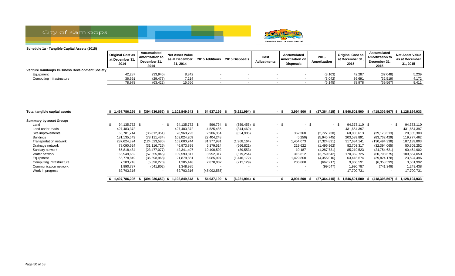



|                                                      | Original Cost as<br>at December 31,<br>2014 | Accumulated<br><b>Amortization to</b><br>December 31.<br>2014 | <b>Net Asset Value</b><br>as at December   2015 Additions  <br>31, 2014 | 2015 Disposals | Cost<br><b>Adiustments</b> | Accumulated<br><b>Amortization on I</b><br><b>Disposals</b> | 2015<br>Amortization | <b>Original Cost as</b><br>at December 31<br>2015 | Accumulated<br><b>Amortization to</b><br>December 31.<br>2015 | Net Asset Value<br>as at December<br>31, 2015 |
|------------------------------------------------------|---------------------------------------------|---------------------------------------------------------------|-------------------------------------------------------------------------|----------------|----------------------------|-------------------------------------------------------------|----------------------|---------------------------------------------------|---------------------------------------------------------------|-----------------------------------------------|
| <b>Venture Kamloops Business Development Society</b> |                                             |                                                               |                                                                         |                |                            |                                                             |                      |                                                   |                                                               |                                               |
| Equipment                                            | 42,287                                      | (33, 945)                                                     | 8,342                                                                   |                |                            |                                                             | (3, 103)             | 42,287                                            | (37, 048)                                                     | 5,239                                         |
| Computing infrastructure                             | 36,691                                      | (29, 477)                                                     | 7.214                                                                   |                |                            |                                                             | (3,042)              | 36,691                                            | (32,519)                                                      | 4,172                                         |
|                                                      | 78,978                                      | (63, 422)                                                     | 15,556                                                                  |                |                            |                                                             | (6, 145)             | 78,978                                            | (69,567)                                                      | 9,411                                         |

| Total tangible capital assets  | 1.497.786.295 | (394,936,652) \$ 1,102,849,643 | - 55          | 54,937,199 \$            | $(6,221,994)$ \$ | . .                      | 3,994,500                | $(27,364,415)$ \$ 1,546,501,500 |               | (418,306,567) \$ 1,128,194,933<br>- 35 |               |
|--------------------------------|---------------|--------------------------------|---------------|--------------------------|------------------|--------------------------|--------------------------|---------------------------------|---------------|----------------------------------------|---------------|
| <b>Summary by asset Group:</b> |               |                                |               |                          |                  |                          |                          |                                 |               |                                        |               |
| Land                           | 94,135,772 \$ | - \$                           | 94,135,772 \$ | 596,794 \$               | $(359, 456)$ \$  | - \$                     | $\sim$                   | - \$                            | 94,373,110 \$ | - \$                                   | 94,373,110    |
| Land under roads               | 427,483,372   |                                | 427.483.372   | 4,525,485                | (344, 460)       | $\sim$                   |                          |                                 | 431.664.397   |                                        | 431.664.397   |
| Site improvements              | 65,781,744    | (36, 812, 951)                 | 28,968,793    | 2,906,854                | (654, 985)       |                          | 362,368                  | (2,727,730)                     | 68,033,613    | (39, 178, 313)                         | 28,855,300    |
| <b>Buildings</b>               | 181, 135, 643 | (78, 111, 434)                 | 103,024,209   | 22,404,248               |                  |                          | (5,250)                  | (5,645,745)                     | 203,539,891   | (83,762,429)                           | 119,777,462   |
| Transportation network         | 287,624,324   | (124,623,580)                  | 163,000,744   | 31,977,981               | (1,968,164)      |                          | 1,454,073                | (7,324,831)                     | 317,634,141   | (130, 494, 338)                        | 187,139,803   |
| Drainage network               | 78,090,624    | (31, 116, 725)                 | 46,973,899    | 5,179,514                | (566, 821)       |                          | 219,622                  | (1,496,962)                     | 82,703,317    | (32, 394, 065)                         | 50,309,252    |
| Sanitary network               | 65,818,484    | (23, 477, 077)                 | 42,341,407    | 19,490,592               | (89, 553)        | $\overline{\phantom{a}}$ | 10,187                   | (1, 287, 731)                   | 85,219,523    | (24, 754, 621)                         | 60,464,902    |
| Water network                  | 166,949,662   | (57, 355, 845)                 | 109,593,817   | 3,992,317                | (579, 254)       |                          | 316,812                  | (3,759,642)                     | 170,362,725   | (60, 798, 675)                         | 109,564,050   |
| Equipment                      | 58,778,849    | (36,898,968)                   | 21,879,881    | 6,085,997                | (1,446,172)      |                          | 1,429,800                | (4,355,010)                     | 63,418,674    | (39,824,178)                           | 23,594,496    |
| Computing infrastructure       | 7,203,718     | (5,898,270)                    | 1,305,448     | 2,870,002                | (213, 129)       |                          | 206,888                  | (667, 217)                      | 9,860,591     | (6,358,599)                            | 3,501,992     |
| Communication network          | 1,990,787     | (641, 802)                     | 1,348,985     | $\overline{\phantom{a}}$ |                  | $\overline{\phantom{0}}$ | $\overline{a}$           | (99, 547)                       | 1,990,787     | (741, 349)                             | 1,249,438     |
| Work in progress               | 62,793,316    | $\overline{\phantom{0}}$       | 62,793,316    | (45,092,585)             |                  |                          | $\overline{\phantom{a}}$ | $\overline{\phantom{a}}$        | 17.700.731    | $\overline{\phantom{0}}$               | 17,700,731    |
|                                | 1,497,786,295 | $(394, 936, 652)$ \$           | 1,102,849,643 | 54,937,199 \$            | $(6,221,994)$ \$ | - 3                      | 3,994,500                | $(27, 364, 415)$ \$             | 1,546,501,500 | $(418,306,567)$ \$                     | 1,128,194,933 |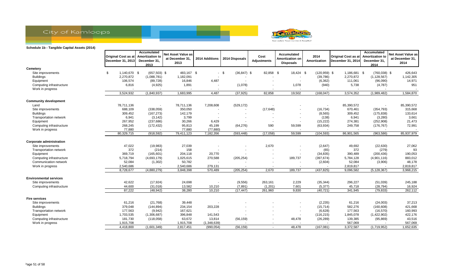



|                                              | Original Cost as at<br>December 31, 2013 | Accumulated<br>Amortization to<br>December 31,<br>2013 | Net Asset Value as<br>at December 31,<br>2013 | 2014 Additions | 2014 Disposals           | Cost<br><b>Adjustments</b> | Accumulated<br>Amortization on<br><b>Disposals</b> | 2014<br>Amortization | Original Cost as at<br>December 31, 2014 | Accumulated<br><b>Amortization to</b><br>December 31,<br>2014 | Net Asset Value as<br>at December 31,<br>2014 |
|----------------------------------------------|------------------------------------------|--------------------------------------------------------|-----------------------------------------------|----------------|--------------------------|----------------------------|----------------------------------------------------|----------------------|------------------------------------------|---------------------------------------------------------------|-----------------------------------------------|
| Cemetery                                     |                                          |                                                        |                                               |                |                          |                            |                                                    |                      |                                          |                                                               |                                               |
| Site improvements                            | \$<br>1,140,670 \$                       | $(657,503)$ \$                                         | 483,167 \$                                    |                | $-$ \$<br>$(36, 847)$ \$ | 82,858 \$                  | 18,424 \$                                          | $(120, 959)$ \$      | 1,186,681 \$                             | $(760, 038)$ \$                                               | 426,643                                       |
| <b>Buildings</b>                             | 2,270,872                                | (1,088,781)                                            | 1,182,091                                     |                |                          |                            |                                                    | (39, 786)            | 2,270,872                                | (1, 128, 567)                                                 | 1,142,305                                     |
| Equipment                                    | 106,574                                  | (89, 728)                                              | 16,846                                        | 4,487          |                          |                            |                                                    | (6, 362)             | 111,061                                  | (96,090)                                                      | 14,971                                        |
| Computing infrastructure<br>Work in progress | 6,816                                    | (4,925)                                                | 1,891                                         |                | (1,078)                  |                            | 1,078                                              | (940)                | 5,738                                    | (4,787)                                                       | 951                                           |
|                                              | 3,524,932                                | (1,840,937)                                            | 1,683,995                                     | 4,487          | (37, 925)                | 82,858                     | 19,502                                             | (168, 047)           | 3,574,352                                | (1,989,482)                                                   | 1,584,870                                     |
| <b>Community development</b>                 |                                          |                                                        |                                               |                |                          |                            |                                                    |                      |                                          |                                                               |                                               |
| Land                                         | 78,711,136                               |                                                        | 78,711,136                                    | 7,208,608      | (529, 172)               |                            |                                                    |                      | 85,390,572                               |                                                               | 85,390,572                                    |
| Site improvements                            | 688,109                                  | (338,059)                                              | 350,050                                       |                |                          | (17, 648)                  |                                                    | (16, 734)            | 670,461                                  | (354, 793)                                                    | 315,668                                       |
| <b>Buildings</b>                             | 309,452                                  | (167, 273)                                             | 142,179                                       |                |                          |                            |                                                    | (8, 565)             | 309,452                                  | (175, 838)                                                    | 133,614                                       |
| Transportation network                       | 6,941                                    | (3, 142)                                               | 3,799                                         |                |                          |                            |                                                    | (138)                | 6,941                                    | (3,280)                                                       | 3,661                                         |
| Equipment                                    | 267,952                                  | (237, 686)                                             | 30,266                                        | 6,429          |                          |                            |                                                    | (15, 222)            | 274,381                                  | (252, 908)                                                    | 21,473                                        |
| Computing infrastructure                     | 268,245                                  | (172, 432)                                             | 95,813                                        | 45,199         | (64, 276)                | 590                        | 59,599                                             | (63, 934)            | 249,758                                  | (176, 767)                                                    | 72,991                                        |
| Work in progress                             | 77,880                                   |                                                        | 77,880                                        | (77, 880)      |                          |                            |                                                    |                      |                                          |                                                               |                                               |
|                                              | 80,329,715                               | (918, 592)                                             | 79,411,123                                    | 7,182,356      | (593, 448)               | (17,058)                   | 59,599                                             | (104, 593)           | 86,901,565                               | (963, 586)                                                    | 85,937,979                                    |
| <b>Corporate administration</b>              |                                          |                                                        |                                               |                |                          |                            |                                                    |                      |                                          |                                                               |                                               |
| Site improvements                            | 47,022                                   | (19, 983)                                              | 27,039                                        |                |                          | 2,670                      |                                                    | (2,647)              | 49,692                                   | (22, 630)                                                     | 27,062                                        |
| Transportation network                       | 372                                      | (214)                                                  | 158                                           |                |                          |                            |                                                    | (65)                 | 372                                      | (279)                                                         | 93                                            |
| Equipment                                    | 369,719                                  | (165, 601)                                             | 204,118                                       | 20,770         |                          |                            |                                                    | (34, 835)            | 390,489                                  | (200, 436)                                                    | 190,053                                       |
| Computing infrastructure                     | 5,718,794                                | (4,693,179)                                            | 1,025,615                                     | 270,588        | (205, 254)               |                            | 189,737                                            | (397, 674)           | 5,784,128                                | (4,901,116)                                                   | 883,012                                       |
| Communication network                        | 52,084                                   | (1, 302)                                               | 50,782                                        |                |                          |                            |                                                    | (2,604)              | 52,084                                   | (3,906)                                                       | 48,178                                        |
| Work in progress                             | 2,540,686                                |                                                        | 2,540,686                                     | 279,131        |                          | $\overline{\phantom{a}}$   |                                                    |                      | 2,819,817                                |                                                               | 2,819,817                                     |
|                                              | 8,728,677                                | (4,880,279)                                            | 3,848,398                                     | 570,489        | (205, 254)               | 2,670                      | 189,737                                            | (437, 825)           | 9,096,582                                | (5, 128, 367)                                                 | 3,968,215                                     |
| <b>Environmental services</b>                |                                          |                                                        |                                               |                |                          |                            |                                                    |                      |                                          |                                                               |                                               |
| Site improvements                            | 42,622                                   | (17, 924)                                              | 24,698                                        |                | (9, 556)                 | 263,161                    | 2,229                                              | (35, 344)            | 296,227                                  | (51,039)                                                      | 245,188                                       |
| Computing infrastructure                     | 44,600                                   | (31, 018)                                              | 13,582                                        | 10,210         | (7, 891)                 | (1,201)                    | 7,601                                              | (5, 377)             | 45,718                                   | (28, 794)                                                     | 16,924                                        |
|                                              | 87,222                                   | (48, 942)                                              | 38,280                                        | 10,210         | (17, 447)                | 261,960                    | 9,830                                              | (40, 721)            | 341,945                                  | (79, 833)                                                     | 262,112                                       |
| <b>Fire services</b>                         |                                          |                                                        |                                               |                |                          |                            |                                                    |                      |                                          |                                                               |                                               |
| Site improvements                            | 61,216                                   | (21, 768)                                              | 39,448                                        |                |                          |                            |                                                    | (2, 235)             | 61,216                                   | (24,003)                                                      | 37,213                                        |
| <b>Buildings</b>                             | 379,048                                  | (144, 894)                                             | 234,154                                       | 203,228        |                          |                            | $\overline{\phantom{a}}$                           | (15, 714)            | 582,276                                  | (160, 608)                                                    | 421,668                                       |
| Transportation network                       | 177,563                                  | (9,942)                                                | 167,621                                       |                |                          |                            |                                                    | (6,628)              | 177,563                                  | (16, 570)                                                     | 160,993                                       |
| Equipment                                    | 1,703,535                                | (1,306,687)                                            | 396,848                                       | 141,543        |                          |                            |                                                    | (116, 215)           | 1,845,078                                | (1,422,902)                                                   | 422,176                                       |
| Computing infrastructure                     | 181,730                                  | (118,058)                                              | 63,672                                        | 13,814         | (56, 159)                |                            | 48,478                                             | (26, 289)            | 139,385                                  | (95, 869)                                                     | 43,516                                        |
| Work in progress                             | 1,915,708                                |                                                        | 1,915,708                                     | (1,348,639)    |                          |                            |                                                    |                      | 567,069                                  |                                                               | 567,069                                       |
|                                              | 4,418,800                                | (1,601,349)                                            | 2,817,451                                     | (990, 054)     | (56, 159)                | $\overline{\phantom{a}}$   | 48,478                                             | (167,081)            | 3,372,587                                | (1,719,952)                                                   | 1,652,635                                     |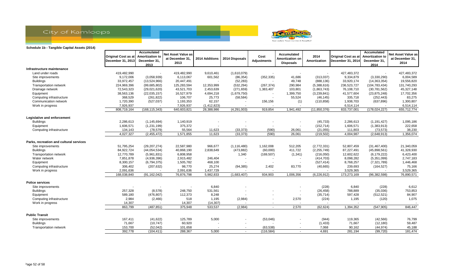



|                                         | Original Cost as at<br>December 31, 2013 | Accumulated<br>Amortization to<br>December 31,<br>2013 | Net Asset Value as<br>at December 31,<br>2013 | 2014 Additions | 2014 Disposals | Cost<br><b>Adjustments</b> | <b>Accumulated</b><br>Amortization on<br><b>Disposals</b> | 2014<br>Amortization | <b>Original Cost as at</b><br>December 31, 2014 | Accumulated<br>Amortization to<br>December 31,<br>2014 | Net Asset Value as<br>at December 31,<br>2014 |
|-----------------------------------------|------------------------------------------|--------------------------------------------------------|-----------------------------------------------|----------------|----------------|----------------------------|-----------------------------------------------------------|----------------------|-------------------------------------------------|--------------------------------------------------------|-----------------------------------------------|
| Infrastructure maintenance              |                                          |                                                        |                                               |                |                |                            |                                                           |                      |                                                 |                                                        |                                               |
| Land under roads                        | 419,482,990                              |                                                        | 419,482,990                                   | 9,610,461      | (1,610,079)    |                            |                                                           |                      | 427,483,372                                     |                                                        | 427,483,372                                   |
| Site improvements                       | 9,172,006                                | (3,058,939)                                            | 6,113,067                                     | 601,562        | (86, 354)      | (352, 335)                 | 41,686                                                    | (313,037)            | 9,334,879                                       | (3,330,290)                                            | 6,004,589                                     |
| <b>Buildings</b>                        | 33,972,457                               | (13,524,966)                                           | 20,447,491                                    |                | (52, 283)      |                            | 49,748                                                    | (888, 136)           | 33,920,174                                      | (14, 363, 354)                                         | 19,556,820                                    |
| Transportation network                  | 224,969,396                              | (99,685,802)                                           | 125,283,594                                   | 12,353,999     | (532, 294)     | (267, 374)                 | 290,984                                                   | (5,388,616)          | 236,523,727                                     | (104, 783, 434)                                        | 131,740,293                                   |
| Drainage network                        | 72,543,323                               | (29,021,620)                                           | 43,521,703                                    | 2,453,639      | (271, 659)     | 1,383,407                  | 103,801                                                   | (1,863,743)          | 76,108,710                                      | (30, 781, 562)                                         | 45,327,148                                    |
| Equipment                               | 38,563,136                               | (22,035,157)                                           | 16,527,979                                    | 4,694,218      | (1,679,750)    |                            | 1,399,750                                                 | (3,239,841)          | 41,577,604                                      | (23, 875, 248)                                         | 17,702,356                                    |
| Computing infrastructure                | 368,529                                  | (261, 822)                                             | 106,707                                       | 25,773         | (58, 584)      |                            | 55,524                                                    | (46, 145)            | 335,718                                         | (252, 443)                                             | 83,275                                        |
| Communication network                   | 1,720,390                                | (527, 037)                                             | 1,193,353                                     | 62,157         |                | 156,156                    | (1)                                                       | (110, 858)           | 1,938,703                                       | (637, 896)                                             | 1,300,807                                     |
| Work in progress                        | 7,926,937                                |                                                        | 7,926,937                                     | (1, 412, 823)  |                |                            |                                                           |                      | 6,514,114                                       |                                                        | 6,514,114                                     |
|                                         | 808,719,164                              | (168, 115, 343)                                        | 640,603,821                                   | 28,388,986     | (4, 291, 003)  | 919,854                    | 1,941,492                                                 | (11, 850, 376)       | 833,737,001                                     | (178, 024, 227)                                        | 655,712,774                                   |
| Legislative and enforcement             |                                          |                                                        |                                               |                |                |                            |                                                           |                      |                                                 |                                                        |                                               |
| <b>Buildings</b>                        | 2,286,613                                | (1, 145, 694)                                          | 1,140,919                                     |                |                |                            |                                                           | (45, 733)            | 2,286,613                                       | (1, 191, 427)                                          | 1,095,186                                     |
| Equipment                               | 1,606,571                                | (1,231,199)                                            | 375,372                                       |                |                |                            |                                                           | (152, 714)           | 1,606,571                                       | (1,383,913)                                            | 222,658                                       |
| Computing infrastructure                | 134,143                                  | (78, 579)                                              | 55,564                                        | 11,623         | (33, 373)      | (590)                      | 26,061                                                    | (21, 055)            | 111,803                                         | (73, 573)                                              | 38,230                                        |
|                                         | 4,027,327                                | (2,455,472)                                            | 1,571,855                                     | 11,623         | (33, 373)      | (590)                      | 26,061                                                    | (219, 502)           | 4,004,987                                       | (2,648,913)                                            | 1,356,074                                     |
| Parks, recreation and cultural services |                                          |                                                        |                                               |                |                |                            |                                                           |                      |                                                 |                                                        |                                               |
| Site improvements                       | 51,795,254                               | (29, 207, 274)                                         | 22,587,980                                    | 966,677        | (1, 116, 480)  | 1,162,008                  | 512,205                                                   | (2,772,331)          | 52,807,459                                      | (31, 467, 400)                                         | 21,340,059                                    |
| <b>Buildings</b>                        | 84,922,724                               | (44, 054, 534)                                         | 40,868,190                                    | 2,838,649      | (473, 882)     | (60,000)                   | 411,722                                                   | (2, 255, 749)        | 87,227,491                                      | (45,898,561)                                           | 41,328,930                                    |
| Transportation network                  | 12,770,789                               | (5,961,831)                                            | 6,808,958                                     |                | 1,340          | (169, 507)                 | (1, 341)                                                  | (216,050)            | 12,602,622                                      | (6, 179, 222)                                          | 6,423,400                                     |
| Water network                           | 7,851,878                                | (4,936,396)                                            | 2,915,482                                     | 246,404        |                |                            |                                                           | (414, 703)           | 8,098,282                                       | (5,351,099)                                            | 2,747,183                                     |
| Equipment                               | 8,300,157                                | (6,794,375)                                            | 1,505,782                                     | 468,100        |                |                            |                                                           | (527, 414)           | 8,768,257                                       | (7, 321, 789)                                          | 1,446,468                                     |
| Computing infrastructure                | 306,402                                  | (207, 632)                                             | 98,770                                        | 25,274         | (94, 385)      | 2,402                      | 83,770                                                    | (40, 665)            | 239,693                                         | (164, 527)                                             | 75,166                                        |
| Work in progress                        | 2,091,636                                |                                                        | 2,091,636                                     | 1,437,729      |                |                            |                                                           |                      | 3,529,365                                       |                                                        | 3,529,365                                     |
|                                         | 168,038,840                              | (91, 162, 042)                                         | 76,876,798                                    | 5,982,833      | (1,683,407)    | 934,903                    | 1,006,356                                                 | (6, 226, 912)        | 173,273,169                                     | (96, 382, 598)                                         | 76,890,571                                    |
| <b>Police services</b>                  |                                          |                                                        |                                               |                |                |                            |                                                           |                      |                                                 |                                                        |                                               |
| Site improvements                       |                                          |                                                        |                                               | 6,840          |                |                            |                                                           | (228)                | 6,840                                           | (228)                                                  | 6,612                                         |
| <b>Buildings</b>                        | 257,328                                  | (8,578)                                                | 248,750                                       | 531,561        |                |                            |                                                           | (26, 458)            | 788,889                                         | (35,036)                                               | 753,853                                       |
| Equipment                               | 589,180                                  | (476, 807)                                             | 112,373                                       | 8,248          |                |                            |                                                           | (35, 714)            | 597,428                                         | (512, 521)                                             | 84,907                                        |
| Computing infrastructure                | 2,984                                    | (2,466)                                                | 518                                           | 1,195          | (2,984)        |                            | 2,570                                                     | (224)                | 1,195                                           | (120)                                                  | 1,075                                         |
| Work in progress                        | 14,307                                   |                                                        | 14,307                                        | (14, 307)      |                | $\overline{a}$             |                                                           |                      |                                                 |                                                        |                                               |
|                                         | 863,799                                  | (487, 851)                                             | 375,948                                       | 533,537        | (2,984)        |                            | 2,570                                                     | (62, 624)            | 1,394,352                                       | (547, 905)                                             | 846,447                                       |
| <b>Public Transit</b>                   |                                          |                                                        |                                               |                |                |                            |                                                           |                      |                                                 |                                                        |                                               |
| Site improvements                       | 167,411                                  | (41, 622)                                              | 125,789                                       | 5,000          |                | (53,046)                   |                                                           | (944)                | 119,365                                         | (42, 566)                                              | 76,799                                        |
| <b>Buildings</b>                        | 71,667                                   | (10, 747)                                              | 60,920                                        |                |                |                            |                                                           | (1, 433)             | 71,667                                          | (12, 180)                                              | 59,487                                        |
| Transportation network                  | 153,700                                  | (52, 042)                                              | 101,658                                       |                |                | (63, 538)                  |                                                           | 7,068                | 90,162                                          | (44, 974)                                              | 45,188                                        |
|                                         | 392,778                                  | (104, 411)                                             | 288,367                                       | 5,000          |                | (116, 584)                 |                                                           | 4.691                | 281,194                                         | (99, 720)                                              | 181,474                                       |
|                                         |                                          |                                                        |                                               |                |                |                            |                                                           |                      |                                                 |                                                        |                                               |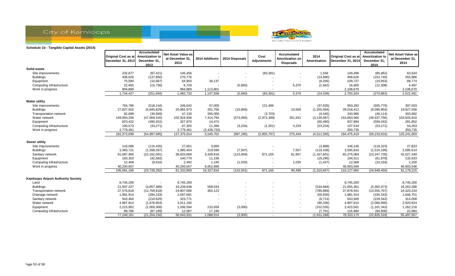



|                                           | <b>Original Cost as at</b><br>December 31, 2013 | Accumulated<br><b>Amortization to</b><br>December 31,<br>2013 | Net Asset Value as<br>at December 31,<br>2013 | 2014 Additions | 2014 Disposals | Cost<br>Adjustments | Accumulated<br>Amortization on<br><b>Disposals</b> | 2014<br>Amortization | <b>Original Cost as at</b><br>December 31, 2014 | Accumulated<br><b>Amortization to</b><br>December 31,<br>2014 | Net Asset Value as<br>at December 31,<br>2014 |
|-------------------------------------------|-------------------------------------------------|---------------------------------------------------------------|-----------------------------------------------|----------------|----------------|---------------------|----------------------------------------------------|----------------------|-------------------------------------------------|---------------------------------------------------------------|-----------------------------------------------|
| Solid waste                               |                                                 |                                                               |                                               |                |                |                     |                                                    |                      |                                                 |                                                               |                                               |
| Site improvements                         | 232,877                                         | (87, 421)                                                     | 145,456                                       |                |                | (83, 381)           |                                                    | 1,559                | 149,496                                         | (85, 862)                                                     | 63,634                                        |
| <b>Buildings</b>                          | 408,626                                         | (137, 850)                                                    | 270,776                                       |                |                |                     |                                                    | (14, 890)            | 408,626                                         | (152, 740)                                                    | 255,886                                       |
| Equipment                                 | 75,590                                          | (10, 687)                                                     | 64,903                                        | 34,137         |                |                     |                                                    | (9,266)              | 109,727                                         | (19, 953)                                                     | 89,774                                        |
| Computing infrastructure                  | 22,465                                          | (15, 736)                                                     | 6,729                                         |                | (5,660)        |                     | 5,370                                              | (1,942)              | 16,805                                          | (12,308)                                                      | 4,497                                         |
| Work in progress                          | 994,869                                         |                                                               | 994,869                                       | 1,113,801      |                |                     |                                                    |                      | 2,108,670                                       |                                                               | 2,108,670                                     |
|                                           | 1,734,427                                       | (251, 694)                                                    | 1,482,733                                     | 1,147,938      | (5,660)        | (83, 381)           | 5,370                                              | (24, 539)            | 2,793,324                                       | (270, 863)                                                    | 2,522,461                                     |
| <b>Water utility</b>                      |                                                 |                                                               |                                               |                |                |                     |                                                    |                      |                                                 |                                                               |                                               |
| Site improvements                         | 764,786                                         | (518, 144)                                                    | 246,642                                       | 67,000         |                | 121,496             | $\blacksquare$                                     | (37, 635)            | 953,282                                         | (555, 779)                                                    | 397,503                                       |
| <b>Buildings</b>                          | 27,827,502                                      | (6,845,829)                                                   | 20,981,673                                    | 201,766        | (10, 856)      |                     | 10,569                                             | (1, 255, 594)        | 28,018,412                                      | (8,090,854)                                                   | 19,927,558                                    |
| <b>Transportation network</b>             | 82,699                                          | (35, 569)                                                     | 47,130                                        | 265,000        |                | (3,703)             | $\blacksquare$                                     | (4, 545)             | 343,996                                         | (40, 114)                                                     | 303,882                                       |
| Water network                             | 149,994,256                                     | (47,069,320)                                                  | 102,924,936                                   | 7,414,794      | (573,095)      | (2,972,389)         | 261,631                                            | (3, 130, 067)        | 153,863,566                                     | (49, 937, 756)                                                | 103,925,810                                   |
| Equipment                                 | 823,422                                         | (495, 552)                                                    | 327,870                                       | 14,472         |                |                     |                                                    | (60, 490)            | 837,894                                         | (556, 042)                                                    | 281,852                                       |
| Computing infrastructure                  | 100,573                                         | (33, 271)                                                     | 67,302                                        | 11,396         | (3,234)        | (1,201)             | 3,234                                              | (23, 234)            | 107,534                                         | (53, 271)                                                     | 54,263                                        |
| Work in progress                          | 2,779,461                                       |                                                               | 2,779,461                                     | (2, 428, 726)  |                |                     |                                                    |                      | 350,735                                         |                                                               | 350,735                                       |
|                                           | 182,372,699                                     | (54, 997, 685)                                                | 127,375,014                                   | 5,545,702      | (587, 185)     | (2,855,797)         | 275,434                                            | (4,511,565)          | 184,475,419                                     | (59, 233, 816)                                                | 125,241,603                                   |
| Sewer utility                             |                                                 |                                                               |                                               |                |                |                     |                                                    |                      |                                                 |                                                               |                                               |
| Site improvements                         | 143,086                                         | (115, 435)                                                    | 27,651                                        | 3,060          |                |                     |                                                    | (2,888)              | 146,146                                         | (118, 323)                                                    | 27,823                                        |
| <b>Buildings</b>                          | 3,383,721                                       | (1,398,267)                                                   | 1,985,454                                     | 219,596        | (7, 507)       |                     | 7,507                                              | (119, 436)           | 3,595,810                                       | (1,510,196)                                                   | 2,085,614                                     |
| Sanitary network                          | 61,087,960                                      | (22, 162, 091)                                                | 38,925,869                                    | 3,439,918      | (123, 959)     | 871,165             | 81,957                                             | (1, 167, 601)        | 65,275,084                                      | (23, 247, 735)                                                | 42,027,349                                    |
| Equipment                                 | 183,353                                         | (42, 583)                                                     | 140,770                                       | 11,158         |                |                     | $\overline{\phantom{a}}$                           | (19, 295)            | 194,511                                         | (61, 878)                                                     | 132,633                                       |
| Computing infrastructure                  | 12,408                                          | (9,916)                                                       | 2,492                                         | 1,195          | (1,035)        |                     | 1,035                                              | (1, 437)             | 12,568                                          | (10, 318)                                                     | 2,250                                         |
| Work in progress                          | 40,250,657                                      |                                                               | 40,250,657                                    | 6,652,889      |                |                     |                                                    |                      | 46,903,546                                      |                                                               | 46,903,546                                    |
|                                           | 105,061,185                                     | (23, 728, 292)                                                | 81,332,893                                    | 10,327,816     | (132, 501)     | 871,165             | 90,499                                             | (1,310,657)          | 116,127,665                                     | (24, 948, 450)                                                | 91,179,215                                    |
| <b>Kamloops Airport Authority Society</b> |                                                 |                                                               |                                               |                |                |                     |                                                    |                      |                                                 |                                                               |                                               |
| Land                                      | 8,745,200                                       |                                                               | 8,745,200                                     |                |                |                     |                                                    |                      | 8,745,200                                       |                                                               | 8,745,200                                     |
| <b>Buildings</b>                          | 21,097,327                                      | (4,857,389)                                                   | 16,239,938                                    | 558,034        |                |                     | $\overline{\phantom{a}}$                           | (534, 684)           | 21,655,361                                      | (5,392,073)                                                   | 16,263,288                                    |
| Transportation network                    | 37,576,818                                      | (12,769,818)                                                  | 24,807,000                                    | 302,123        |                |                     | $\blacksquare$                                     | (785, 889)           | 37,878,941                                      | (13, 555, 707)                                                | 24,323,234                                    |
| Drainage network                          | 1,981,914                                       | (284, 233)                                                    | 1,697,681                                     |                |                |                     |                                                    | (50, 930)            | 1,981,914                                       | (335, 163)                                                    | 1,646,751                                     |
| Sanitary network                          | 543,400                                         | (219, 629)                                                    | 323,771                                       |                |                |                     |                                                    | (9,713)              | 543,400                                         | (229, 342)                                                    | 314,058                                       |
| Water network                             | 4,987,814                                       | (1,976,654)                                                   | 3,011,160                                     |                |                |                     | $\blacksquare$                                     | (90, 336)            | 4,987,814                                       | (2,066,990)                                                   | 2,920,824                                     |
| Equipment                                 | 2,215,902                                       | (1,009,308)                                                   | 1,206,594                                     | 210,659        | (3,000)        |                     | $\overline{\phantom{a}}$                           | (152, 035)           | 2,423,561                                       | (1, 161, 343)                                                 | 1,262,218                                     |
| Computing infrastructure                  | 99,786                                          | (87, 199)                                                     | 12,587                                        | 17,198         |                |                     | $\overline{\phantom{a}}$                           | (7,701)              | 116,984                                         | (94,900)                                                      | 22,084                                        |
|                                           | 77,248,161                                      | (21, 204, 230)                                                | 56,043,931                                    | 1,088,014      | (3,000)        | $\overline{a}$      | $\sim$                                             | (1,631,288)          | 78,333,175                                      | (22, 835, 518)                                                | 55,497,657                                    |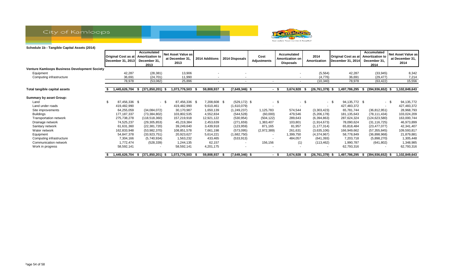



|                                                      | Original Cost as at<br>December 31, 2013 | Accumulated<br><b>Amortization to</b><br>December 31,<br>2013 | <b>Net Asset Value as</b><br>at December 31,<br>2013 | <b>2014 Additions</b>    | 2014 Disposals   | Cost<br><b>Adjustments</b> | <b>Accumulated</b><br>Amortization on<br><b>Disposals</b> | 2014<br>Amortization     | Original Cost as at<br>December 31, 2014 | Accumulated<br>Amortization to<br>December 31,<br>2014 | Net Asset Value as<br>at December 31,<br>2014 |
|------------------------------------------------------|------------------------------------------|---------------------------------------------------------------|------------------------------------------------------|--------------------------|------------------|----------------------------|-----------------------------------------------------------|--------------------------|------------------------------------------|--------------------------------------------------------|-----------------------------------------------|
| <b>Venture Kamloops Business Development Society</b> |                                          |                                                               |                                                      |                          |                  |                            |                                                           |                          |                                          |                                                        |                                               |
| Equipment                                            | 42,287                                   | (28, 381)                                                     | 13,906                                               |                          |                  |                            |                                                           | (5, 564)                 | 42,287                                   | (33, 945)                                              | 8,342                                         |
| Computing infrastructure                             | 36,691                                   | (24, 701)                                                     | 11,990                                               | $\overline{\phantom{a}}$ |                  |                            | $\overline{\phantom{a}}$                                  | (4,776)                  | 36,691                                   | (29, 477)                                              | 7,214                                         |
|                                                      | 78,978                                   | (53,082)                                                      | 25,896                                               | $\overline{\phantom{a}}$ |                  | $\overline{\phantom{0}}$   | $\sim$                                                    | (10, 340)                | 78,978                                   | (63, 422)                                              | 15,556                                        |
| Total tangible capital assets                        | ,445,626,704                             | $(371,850,201)$ \$                                            | 1,073,776,503                                        | 59,808,937               | $(7,649,346)$ \$ | - s                        | 3,674,928                                                 | (26, 761, 379)           | ,497,786,295                             | $(394, 936, 652)$ \$                                   | ,102,849,643                                  |
| Summary by asset Group:                              |                                          |                                                               |                                                      |                          |                  |                            |                                                           |                          |                                          |                                                        |                                               |
| Land                                                 | \$<br>87,456,336 \$                      | - \$                                                          | 87,456,336 \$                                        | 7,208,608 \$             | $(529, 172)$ \$  | $-$ \$                     | - \$                                                      | - \$                     | 94,135,772 \$                            | - \$                                                   | 94,135,772                                    |
| Land under roads                                     | 419,482,990                              |                                                               | 419,482,990                                          | 9,610,461                | (1,610,079)      | $\sim$                     | $\overline{\phantom{a}}$                                  | $\overline{\phantom{a}}$ | 427,483,372                              | $\overline{\phantom{a}}$                               | 427,483,372                                   |
| Site improvements                                    | 64,255,059                               | (34,084,072)                                                  | 30,170,987                                           | 1,650,139                | (1, 249, 237)    | 1,125,783                  | 574,544                                                   | (3,303,423)              | 65,781,744                               | (36, 812, 951)                                         | 28,968,793                                    |
| <b>Buildings</b>                                     | 177, 187, 337                            | (73, 384, 802)                                                | 103,802,535                                          | 4,552,834                | (544, 528)       | (60,000)                   | 479,546                                                   | (5,206,178)              | 181,135,643                              | (78, 111, 434)                                         | 103,024,209                                   |
| Transportation network                               | 275,738,278                              | (118, 518, 360)                                               | 157,219,918                                          | 12,921,122               | (530, 954)       | (504, 122)                 | 289,643                                                   | (6, 394, 863)            | 287,624,324                              | (124, 623, 580)                                        | 163,000,744                                   |
| Drainage network                                     | 74,525,237                               | (29, 305, 853)                                                | 45,219,384                                           | 2,453,639                | (271, 659)       | 1,383,407                  | 103,801                                                   | (1,914,673)              | 78,090,624                               | (31, 116, 725)                                         | 46,973,899                                    |
| Sanitary network                                     | 61,631,360                               | (22, 381, 720)                                                | 39,249,640                                           | 3,439,918                | (123, 959)       | 871,165                    | 81,957                                                    | (1, 177, 314)            | 65,818,484                               | (23, 477, 077)                                         | 42,341,407                                    |
| Water network                                        | 162,833,948                              | (53,982,370)                                                  | 108,851,578                                          | 7,661,198                | (573,095)        | (2,972,389)                | 261,631                                                   | (3,635,106)              | 166,949,662                              | (57, 355, 845)                                         | 109,593,817                                   |
| Equipment                                            | 54,847,378                               | (33, 923, 751)                                                | 20,923,627                                           | 5,614,221                | (1,682,750)      |                            | 1,399,750                                                 | (4,374,967)              | 58,778,849                               | (36,898,968)                                           | 21,879,881                                    |
| Computing infrastructure                             | 7,304,166                                | (5,740,934)                                                   | 1,563,232                                            | 433,465                  | (533, 913)       |                            | 484,057                                                   | (641, 393)               | 7,203,718                                | (5,898,270)                                            | 1,305,448                                     |
| Communication network                                | 1,772,474                                | (528, 339)                                                    | 1,244,135                                            | 62,157                   |                  | 156,156                    | (1)                                                       | (113, 462)               | 1,990,787                                | (641, 802)                                             | 1,348,985                                     |
| Work in progress                                     | 58,592,141                               |                                                               | 58,592,141                                           | 4,201,175                |                  |                            | $\overline{\phantom{0}}$                                  | $\overline{\phantom{a}}$ | 62,793,316                               | $\overline{\phantom{a}}$                               | 62,793,316                                    |
|                                                      | 1,445,626,704                            | $(371,850,201)$ \$                                            | 1,073,776,503                                        | 59,808,937               | $(7,649,346)$ \$ | - s                        | 3,674,928                                                 | $(26, 761, 379)$ \$      | 1,497,786,295                            | $(394, 936, 652)$ \$                                   | ,102,849,643                                  |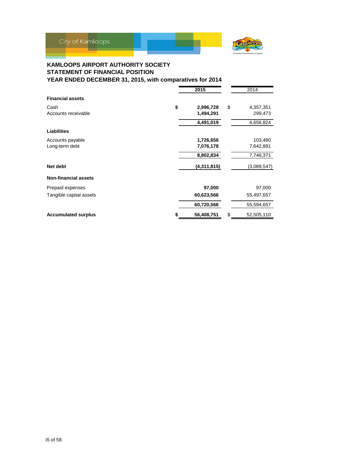

# **KAMLOOPS AIRPORT AUTHORITY SOCIETY STATEMENT OF FINANCIAL POSITION**

|                             | 2015 |             |    |             |
|-----------------------------|------|-------------|----|-------------|
| <b>Financial assets</b>     |      |             |    |             |
| Cash                        | \$   | 2,996,728   | \$ | 4,357,351   |
| Accounts receivable         |      | 1,494,291   |    | 299,473     |
|                             |      | 4,491,019   |    | 4,656,824   |
| <b>Liabilities</b>          |      |             |    |             |
| Accounts payable            |      | 1,726,656   |    | 103,480     |
| Long-term debt              |      | 7,076,178   |    | 7,642,891   |
|                             |      | 8,802,834   |    | 7,746,371   |
| Net debt                    |      | (4,311,815) |    | (3,089,547) |
| <b>Non-financial assets</b> |      |             |    |             |
| Prepaid expenses            |      | 97,000      |    | 97,000      |
| Tangible capital assets     |      | 60,623,566  |    | 55,497,657  |
|                             |      | 60,720,566  |    | 55,594,657  |
| <b>Accumulated surplus</b>  | S    | 56,408,751  | \$ | 52,505,110  |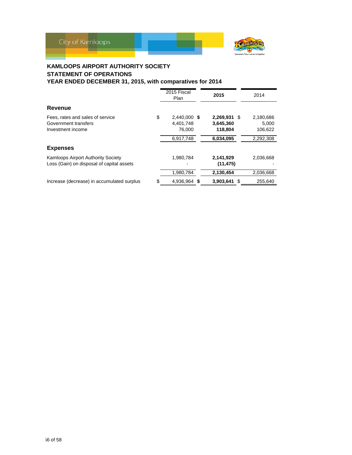

# **KAMLOOPS AIRPORT AUTHORITY SOCIETY STATEMENT OF OPERATIONS**

|                                                                                        | 2015 Fiscal<br>Plan                       |    | 2015                                 | 2014                          |
|----------------------------------------------------------------------------------------|-------------------------------------------|----|--------------------------------------|-------------------------------|
| Revenue                                                                                |                                           |    |                                      |                               |
| Fees, rates and sales of service<br>Government transfers<br>Investment income          | \$<br>2,440,000 \$<br>4.401.748<br>76.000 |    | 2,269,931 \$<br>3,645,360<br>118,804 | 2,180,686<br>5,000<br>106,622 |
| <b>Expenses</b>                                                                        | 6.917.748                                 |    | 6,034,095                            | 2,292,308                     |
| <b>Kamloops Airport Authority Society</b><br>Loss (Gain) on disposal of capital assets | 1,980,784                                 |    | 2,141,929<br>(11, 475)               | 2.036.668                     |
|                                                                                        | 1,980,784                                 |    | 2,130,454                            | 2,036,668                     |
| Increase (decrease) in accumulated surplus                                             | \$<br>4,936,964                           | -S | 3,903,641<br>- \$                    | 255,640                       |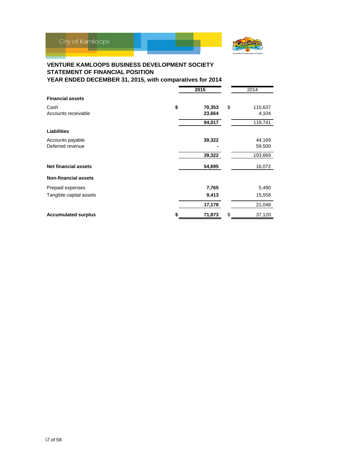

# **VENTURE KAMLOOPS BUSINESS DEVELOPMENT SOCIETY STATEMENT OF FINANCIAL POSITION**

|                             | 2015 |        |    | 2014    |
|-----------------------------|------|--------|----|---------|
| <b>Financial assets</b>     |      |        |    |         |
| Cash                        | \$   | 70,353 | \$ | 115,637 |
| Accounts receivable         |      | 23,664 |    | 4,104   |
|                             |      | 94,017 |    | 119,741 |
| <b>Liabilities</b>          |      |        |    |         |
| Accounts payable            |      | 39,322 |    | 44,169  |
| Deferred revenue            |      |        |    | 59,500  |
|                             |      | 39,322 |    | 103,669 |
| <b>Net financial assets</b> |      | 54,695 |    | 16,072  |
| <b>Non-financial assets</b> |      |        |    |         |
| Prepaid expenses            |      | 7,765  |    | 5,490   |
| Tangible capital assets     |      | 9,413  |    | 15,558  |
|                             |      | 17,178 |    | 21,048  |
| <b>Accumulated surplus</b>  | S    | 71,873 | \$ | 37,120  |